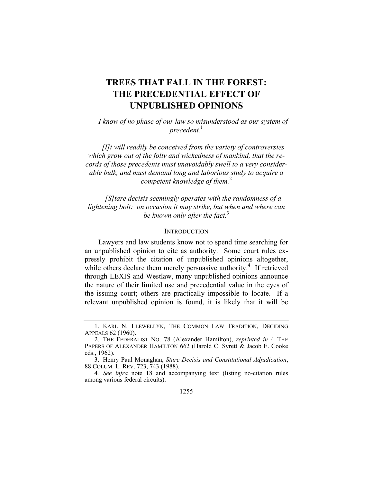# **TREES THAT FALL IN THE FOREST: THE PRECEDENTIAL EFFECT OF UNPUBLISHED OPINIONS**

*I know of no phase of our law so misunderstood as our system of precedent.*<sup>1</sup>

*[I]t will readily be conceived from the variety of controversies which grow out of the folly and wickedness of mankind, that the records of those precedents must unavoidably swell to a very considerable bulk, and must demand long and laborious study to acquire a competent knowledge of them.*<sup>2</sup>

*[S]tare decisis seemingly operates with the randomness of a lightening bolt: on occasion it may strike, but when and where can be known only after the fact.*<sup>3</sup>

#### **INTRODUCTION**

Lawyers and law students know not to spend time searching for an unpublished opinion to cite as authority. Some court rules expressly prohibit the citation of unpublished opinions altogether, while others declare them merely persuasive authority.<sup>4</sup> If retrieved through LEXIS and Westlaw, many unpublished opinions announce the nature of their limited use and precedential value in the eyes of the issuing court; others are practically impossible to locate. If a relevant unpublished opinion is found, it is likely that it will be

 <sup>1.</sup> KARL N. LLEWELLYN, THE COMMON LAW TRADITION, DECIDING APPEALS 62 (1960).

 <sup>2.</sup> THE FEDERALIST NO. 78 (Alexander Hamilton), *reprinted in* 4 THE PAPERS OF ALEXANDER HAMILTON 662 (Harold C. Syrett & Jacob E. Cooke eds., 1962).

 <sup>3.</sup> Henry Paul Monaghan, *Stare Decisis and Constitutional Adjudication*, 88 COLUM. L. REV. 723, 743 (1988).

<sup>4</sup>*. See infra* note 18 and accompanying text (listing no-citation rules among various federal circuits).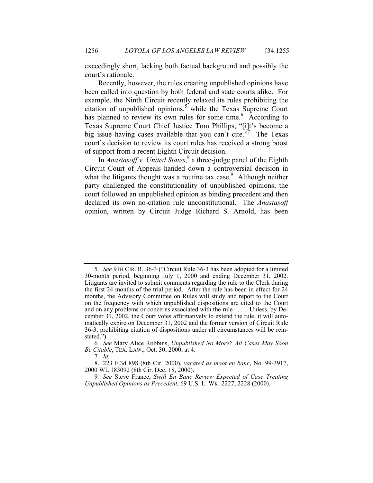exceedingly short, lacking both factual background and possibly the court's rationale.

Recently, however, the rules creating unpublished opinions have been called into question by both federal and state courts alike. For example, the Ninth Circuit recently relaxed its rules prohibiting the citation of unpublished opinions,<sup>5</sup> while the Texas Supreme Court has planned to review its own rules for some time.<sup>6</sup> According to Texas Supreme Court Chief Justice Tom Phillips, "[i]t's become a big issue having cases available that you can't cite.<sup> $\frac{1}{2}$ </sup> The Texas court's decision to review its court rules has received a strong boost of support from a recent Eighth Circuit decision.

In *Anastasoff v. United States*, 8 a three-judge panel of the Eighth Circuit Court of Appeals handed down a controversial decision in what the litigants thought was a routine tax case.<sup>9</sup> Although neither party challenged the constitutionality of unpublished opinions, the court followed an unpublished opinion as binding precedent and then declared its own no-citation rule unconstitutional. The *Anastasoff* opinion, written by Circuit Judge Richard S. Arnold, has been

7*. Id.*

<sup>5</sup>*. See* 9TH CIR. R. 36-3 ("Circuit Rule 36-3 has been adopted for a limited 30-month period, beginning July 1, 2000 and ending December 31, 2002. Litigants are invited to submit comments regarding the rule to the Clerk during the first 24 months of the trial period. After the rule has been in effect for 24 months, the Advisory Committee on Rules will study and report to the Court on the frequency with which unpublished dispositions are cited to the Court and on any problems or concerns associated with the rule . . . . Unless, by December 31, 2002, the Court votes affirmatively to extend the rule, it will automatically expire on December 31, 2002 and the former version of Circuit Rule 36-3, prohibiting citation of dispositions under all circumstances will be reinstated.").

<sup>6</sup>*. See* Mary Alice Robbins, *Unpublished No More? All Cases May Soon Be Citable*, TEX. LAW., Oct. 30, 2000, at 4.

 <sup>8. 223</sup> F.3d 898 (8th Cir. 2000), *vacated as moot en banc*, No. 99-3917, 2000 WL 183092 (8th Cir. Dec. 18, 2000).

<sup>9</sup>*. See* Steve France, *Swift En Banc Review Expected of Case Treating Unpublished Opinions as Precedent*, 69 U.S. L. WK. 2227, 2228 (2000).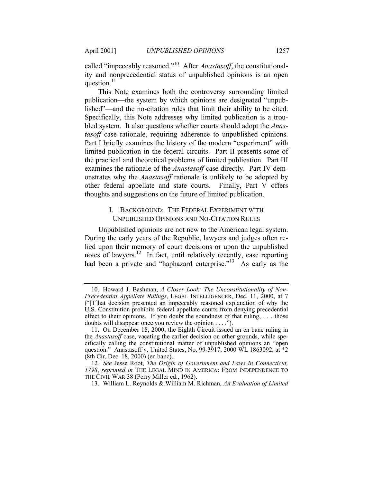called "impeccably reasoned."10 After *Anastasoff*, the constitutionality and nonprecedential status of unpublished opinions is an open question. $^{11}$ 

This Note examines both the controversy surrounding limited publication—the system by which opinions are designated "unpublished"—and the no-citation rules that limit their ability to be cited. Specifically, this Note addresses why limited publication is a troubled system. It also questions whether courts should adopt the *Anastasoff* case rationale, requiring adherence to unpublished opinions. Part I briefly examines the history of the modern "experiment" with limited publication in the federal circuits. Part II presents some of the practical and theoretical problems of limited publication. Part III examines the rationale of the *Anastasoff* case directly. Part IV demonstrates why the *Anastasoff* rationale is unlikely to be adopted by other federal appellate and state courts. Finally, Part V offers thoughts and suggestions on the future of limited publication.

## I. BACKGROUND: THE FEDERAL EXPERIMENT WITH UNPUBLISHED OPINIONS AND NO-CITATION RULES

Unpublished opinions are not new to the American legal system. During the early years of the Republic, lawyers and judges often relied upon their memory of court decisions or upon the unpublished notes of lawyers.<sup>12</sup> In fact, until relatively recently, case reporting had been a private and "haphazard enterprise."<sup>13</sup> As early as the

 <sup>10.</sup> Howard J. Bashman, *A Closer Look: The Unconstitutionality of Non-Precedential Appellate Rulings*, LEGAL INTELLIGENCER, Dec. 11, 2000, at 7 ("[T]hat decision presented an impeccably reasoned explanation of why the U.S. Constitution prohibits federal appellate courts from denying precedential effect to their opinions. If you doubt the soundness of that ruling, . . . those doubts will disappear once you review the opinion . . . .").

 <sup>11.</sup> On December 18, 2000, the Eighth Circuit issued an en banc ruling in the *Anastasoff* case, vacating the earlier decision on other grounds, while specifically calling the constitutional matter of unpublished opinions an "open question." Anastasoff v. United States, No. 99-3917, 2000 WL 1863092, at \*2 (8th Cir. Dec. 18, 2000) (en banc).

<sup>12</sup>*. See* Jesse Root, *The Origin of Government and Laws in Connecticut, 1798*, *reprinted in* THE LEGAL MIND IN AMERICA: FROM INDEPENDENCE TO THE CIVIL WAR 38 (Perry Miller ed., 1962).

 <sup>13.</sup> William L. Reynolds & William M. Richman, *An Evaluation of Limited*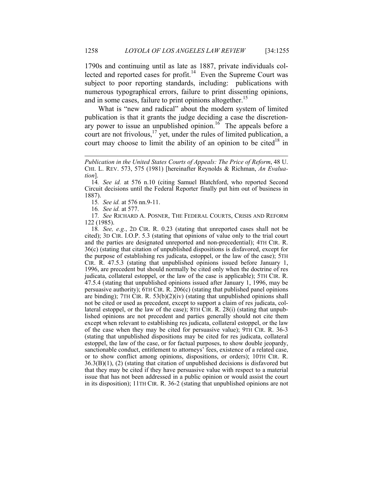1790s and continuing until as late as 1887, private individuals collected and reported cases for profit.<sup>14</sup> Even the Supreme Court was subject to poor reporting standards, including: publications with numerous typographical errors, failure to print dissenting opinions, and in some cases, failure to print opinions altogether.<sup>15</sup>

What is "new and radical" about the modern system of limited publication is that it grants the judge deciding a case the discretionary power to issue an unpublished opinion.<sup>16</sup> The appeals before a court are not frivolous,  $\frac{17}{12}$  yet, under the rules of limited publication, a court may choose to limit the ability of an opinion to be cited<sup>18</sup> in

15*. See id.* at 576 nn.9-11.

16*. See id.* at 577.

1

17*. See* RICHARD A. POSNER, THE FEDERAL COURTS, CRISIS AND REFORM 122 (1985).

18*. See, e.g.*, 2D CIR. R. 0.23 (stating that unreported cases shall not be cited); 3D CIR. I.O.P. 5.3 (stating that opinions of value only to the trial court and the parties are designated unreported and non-precedential); 4TH CIR. R. 36(c) (stating that citation of unpublished dispositions is disfavored, except for the purpose of establishing res judicata, estoppel, or the law of the case); 5TH CIR. R. 47.5.3 (stating that unpublished opinions issued before January 1, 1996, are precedent but should normally be cited only when the doctrine of res judicata, collateral estoppel, or the law of the case is applicable); 5TH CIR. R. 47.5.4 (stating that unpublished opinions issued after January 1, 1996, may be persuasive authority); 6TH CIR. R. 206(c) (stating that published panel opinions are binding);  $7TH$  CIR. R.  $53(b)(2)(iv)$  (stating that unpublished opinions shall not be cited or used as precedent, except to support a claim of res judicata, collateral estoppel, or the law of the case); 8TH CIR. R. 28(i) (stating that unpublished opinions are not precedent and parties generally should not cite them except when relevant to establishing res judicata, collateral estoppel, or the law of the case when they may be cited for persuasive value); 9TH CIR. R. 36-3 (stating that unpublished dispositions may be cited for res judicata, collateral estoppel, the law of the case, or for factual purposes, to show double jeopardy, sanctionable conduct, entitlement to attorneys' fees, existence of a related case, or to show conflict among opinions, dispositions, or orders); 10TH CIR. R. 36.3(B)(1), (2) (stating that citation of unpublished decisions is disfavored but that they may be cited if they have persuasive value with respect to a material issue that has not been addressed in a public opinion or would assist the court in its disposition); 11TH CIR. R. 36-2 (stating that unpublished opinions are not

*Publication in the United States Courts of Appeals: The Price of Reform*, 48 U. CHI. L. REV. 573, 575 (1981) [hereinafter Reynolds & Richman, *An Evaluation*].

<sup>14</sup>*. See id.* at 576 n.10 (citing Samuel Blatchford, who reported Second Circuit decisions until the Federal Reporter finally put him out of business in 1887).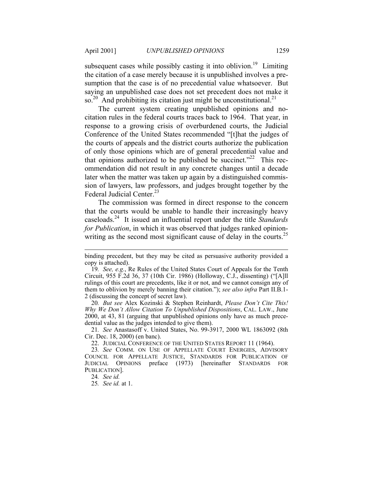subsequent cases while possibly casting it into oblivion.<sup>19</sup> Limiting the citation of a case merely because it is unpublished involves a presumption that the case is of no precedential value whatsoever. But saying an unpublished case does not set precedent does not make it so.<sup>20</sup> And prohibiting its citation just might be unconstitutional.<sup>21</sup>

The current system creating unpublished opinions and nocitation rules in the federal courts traces back to 1964. That year, in response to a growing crisis of overburdened courts, the Judicial Conference of the United States recommended "[t]hat the judges of the courts of appeals and the district courts authorize the publication of only those opinions which are of general precedential value and that opinions authorized to be published be succinct."<sup>22</sup> This recommendation did not result in any concrete changes until a decade later when the matter was taken up again by a distinguished commission of lawyers, law professors, and judges brought together by the Federal Judicial Center.<sup>23</sup>

The commission was formed in direct response to the concern that the courts would be unable to handle their increasingly heavy caseloads.24 It issued an influential report under the title *Standards for Publication*, in which it was observed that judges ranked opinionwriting as the second most significant cause of delay in the courts.<sup>25</sup>

20*. But see* Alex Kozinski & Stephen Reinhardt, *Please Don't Cite This! Why We Don't Allow Citation To Unpublished Dispositions*, CAL. LAW., June 2000, at 43, 81 (arguing that unpublished opinions only have as much precedential value as the judges intended to give them).

21*. See* Anastasoff v. United States, No. 99-3917, 2000 WL 1863092 (8th Cir. Dec. 18, 2000) (en banc).

22. JUDICIAL CONFERENCE OF THE UNITED STATES REPORT 11 (1964).

24*. See id.*

-

25*. See id.* at 1.

binding precedent, but they may be cited as persuasive authority provided a copy is attached).

<sup>19</sup>*. See, e.g.*, Re Rules of the United States Court of Appeals for the Tenth Circuit, 955 F.2d 36, 37 (10th Cir. 1986) (Holloway, C.J., dissenting) ("[A]ll rulings of this court are precedents, like it or not, and we cannot consign any of them to oblivion by merely banning their citation."); *see also infra* Part II.B.1- 2 (discussing the concept of secret law).

<sup>23</sup>*. See* COMM. ON USE OF APPELLATE COURT ENERGIES, ADVISORY COUNCIL FOR APPELLATE JUSTICE, STANDARDS FOR PUBLICATION OF JUDICIAL OPINIONS preface (1973) [hereinafter STANDARDS FOR PUBLICATION].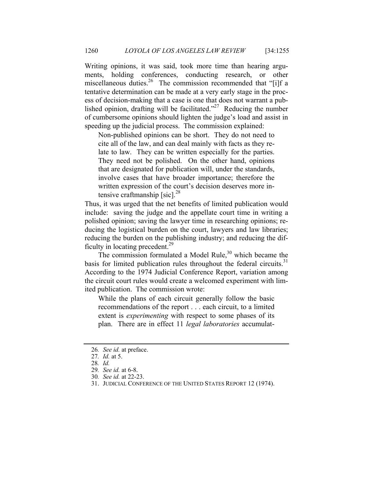Writing opinions, it was said, took more time than hearing arguments, holding conferences, conducting research, or other miscellaneous duties.<sup>26</sup> The commission recommended that "[i]f a tentative determination can be made at a very early stage in the process of decision-making that a case is one that does not warrant a published opinion, drafting will be facilitated.<sup>227</sup> Reducing the number of cumbersome opinions should lighten the judge's load and assist in speeding up the judicial process. The commission explained:

Non-published opinions can be short. They do not need to cite all of the law, and can deal mainly with facts as they relate to law. They can be written especially for the parties. They need not be polished. On the other hand, opinions that are designated for publication will, under the standards, involve cases that have broader importance; therefore the written expression of the court's decision deserves more intensive craftmanship [sic]. $^{28}$ 

Thus, it was urged that the net benefits of limited publication would include: saving the judge and the appellate court time in writing a polished opinion; saving the lawyer time in researching opinions; reducing the logistical burden on the court, lawyers and law libraries; reducing the burden on the publishing industry; and reducing the difficulty in locating precedent.<sup>29</sup>

The commission formulated a Model Rule, $30$  which became the basis for limited publication rules throughout the federal circuits. $31$ According to the 1974 Judicial Conference Report, variation among the circuit court rules would create a welcomed experiment with limited publication. The commission wrote:

While the plans of each circuit generally follow the basic recommendations of the report . . . each circuit, to a limited extent is *experimenting* with respect to some phases of its plan. There are in effect 11 *legal laboratories* accumulat-

<sup>26</sup>*. See id.* at preface.

<sup>27</sup>*. Id.* at 5.

<sup>28</sup>*. Id.*

<sup>29</sup>*. See id.* at 6-8.

<sup>30</sup>*. See id.* at 22-23.

 <sup>31.</sup> JUDICIAL CONFERENCE OF THE UNITED STATES REPORT 12 (1974).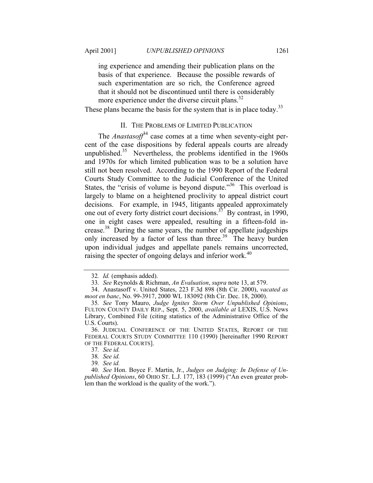ing experience and amending their publication plans on the basis of that experience. Because the possible rewards of such experimentation are so rich, the Conference agreed that it should not be discontinued until there is considerably more experience under the diverse circuit plans. $32$ 

These plans became the basis for the system that is in place today.<sup>33</sup>

## II. THE PROBLEMS OF LIMITED PUBLICATION

The *Anastasoff* $34$  case comes at a time when seventy-eight percent of the case dispositions by federal appeals courts are already unpublished.<sup>35</sup> Nevertheless, the problems identified in the  $1960s$ and 1970s for which limited publication was to be a solution have still not been resolved. According to the 1990 Report of the Federal Courts Study Committee to the Judicial Conference of the United States, the "crisis of volume is beyond dispute."<sup>36</sup> This overload is largely to blame on a heightened proclivity to appeal district court decisions. For example, in 1945, litigants appealed approximately one out of every forty district court decisions.37 By contrast, in 1990, one in eight cases were appealed, resulting in a fifteen-fold increase.38 During the same years, the number of appellate judgeships only increased by a factor of less than three.<sup>39</sup> The heavy burden upon individual judges and appellate panels remains uncorrected, raising the specter of ongoing delays and inferior work.<sup>40</sup>

<sup>32</sup>*. Id.* (emphasis added).

<sup>33</sup>*. See* Reynolds & Richman, *An Evaluation*, *supra* note 13, at 579.

 <sup>34.</sup> Anastasoff v. United States, 223 F.3d 898 (8th Cir. 2000), *vacated as moot en banc*, No. 99-3917, 2000 WL 183092 (8th Cir. Dec. 18, 2000).

<sup>35</sup>*. See* Tony Mauro, *Judge Ignites Storm Over Unpublished Opinions*, FULTON COUNTY DAILY REP., Sept. 5, 2000, *available at* LEXIS, U.S. News Library, Combined File (citing statistics of the Administrative Office of the U.S. Courts).

 <sup>36.</sup> JUDICIAL CONFERENCE OF THE UNITED STATES, REPORT OF THE FEDERAL COURTS STUDY COMMITTEE 110 (1990) [hereinafter 1990 REPORT OF THE FEDERAL COURTS].

<sup>37</sup>*. See id.*

<sup>38</sup>*. See id.*

<sup>39</sup>*. See id.*

<sup>40</sup>*. See* Hon. Boyce F. Martin, Jr., *Judges on Judging: In Defense of Unpublished Opinions*, 60 OHIO ST. L.J. 177, 183 (1999) ("An even greater problem than the workload is the quality of the work.").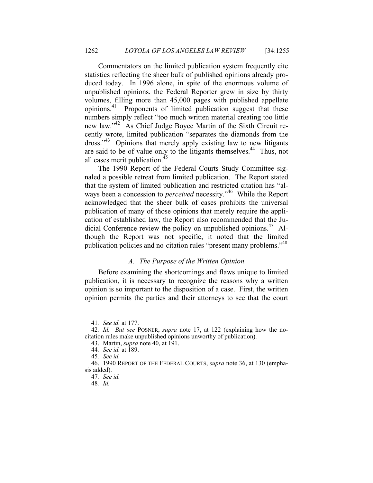Commentators on the limited publication system frequently cite statistics reflecting the sheer bulk of published opinions already produced today. In 1996 alone, in spite of the enormous volume of unpublished opinions, the Federal Reporter grew in size by thirty volumes, filling more than 45,000 pages with published appellate opinions.41 Proponents of limited publication suggest that these numbers simply reflect "too much written material creating too little new law."<sup>42</sup> As Chief Judge Boyce Martin of the Sixth Circuit recently wrote, limited publication "separates the diamonds from the dross."43 Opinions that merely apply existing law to new litigants are said to be of value only to the litigants themselves.44 Thus, not all cases merit publication.<sup>45</sup>

The 1990 Report of the Federal Courts Study Committee signaled a possible retreat from limited publication. The Report stated that the system of limited publication and restricted citation has "always been a concession to *perceived* necessity."<sup>46</sup> While the Report acknowledged that the sheer bulk of cases prohibits the universal publication of many of those opinions that merely require the application of established law, the Report also recommended that the Judicial Conference review the policy on unpublished opinions.<sup>47</sup> Although the Report was not specific, it noted that the limited publication policies and no-citation rules "present many problems."<sup>48</sup>

## *A. The Purpose of the Written Opinion*

Before examining the shortcomings and flaws unique to limited publication, it is necessary to recognize the reasons why a written opinion is so important to the disposition of a case. First, the written opinion permits the parties and their attorneys to see that the court

<sup>41</sup>*. See id.* at 177.

<sup>42</sup>*. Id. But see* POSNER, *supra* note 17, at 122 (explaining how the nocitation rules make unpublished opinions unworthy of publication).

 <sup>43.</sup> Martin, *supra* note 40, at 191.

<sup>44</sup>*. See id.* at 189.

<sup>45</sup>*. See id.*

 <sup>46. 1990</sup> REPORT OF THE FEDERAL COURTS, *supra* note 36, at 130 (emphasis added).

<sup>47</sup>*. See id.* 

<sup>48</sup>*. Id.*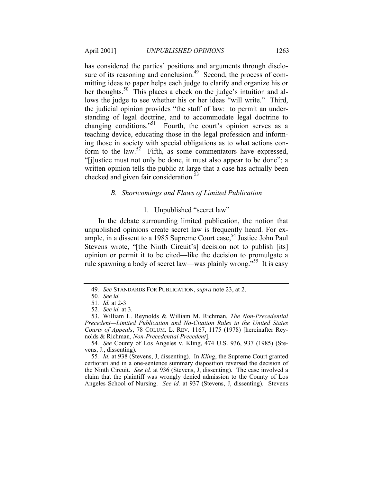has considered the parties' positions and arguments through disclosure of its reasoning and conclusion.<sup>49</sup> Second, the process of committing ideas to paper helps each judge to clarify and organize his or her thoughts.<sup>50</sup> This places a check on the judge's intuition and allows the judge to see whether his or her ideas "will write." Third, the judicial opinion provides "the stuff of law: to permit an understanding of legal doctrine, and to accommodate legal doctrine to changing conditions.<sup>"51</sup> Fourth, the court's opinion serves as a teaching device, educating those in the legal profession and informing those in society with special obligations as to what actions conform to the law.<sup>52</sup> Fifth, as some commentators have expressed, "[j]ustice must not only be done, it must also appear to be done"; a written opinion tells the public at large that a case has actually been checked and given fair consideration.<sup>53</sup>

#### *B. Shortcomings and Flaws of Limited Publication*

## 1. Unpublished "secret law"

In the debate surrounding limited publication, the notion that unpublished opinions create secret law is frequently heard. For example, in a dissent to a 1985 Supreme Court case,  $54$  Justice John Paul Stevens wrote, "[the Ninth Circuit's] decision not to publish [its] opinion or permit it to be cited—like the decision to promulgate a rule spawning a body of secret law—was plainly wrong.<sup>555</sup> It is easy

<sup>49</sup>*. See* STANDARDS FOR PUBLICATION, *supra* note 23, at 2.

<sup>50</sup>*. See id.*

<sup>51</sup>*. Id.* at 2-3.

<sup>52</sup>*. See id.* at 3.

 <sup>53.</sup> William L. Reynolds & William M. Richman, *The Non-Precedential Precedent—Limited Publication and No-Citation Rules in the United States Courts of Appeals*, 78 COLUM. L. REV. 1167, 1175 (1978) [hereinafter Reynolds & Richman, *Non-Precedential Precedent*].

<sup>54</sup>*. See* County of Los Angeles v. Kling, 474 U.S. 936, 937 (1985) (Stevens, J., dissenting).

<sup>55</sup>*. Id.* at 938 (Stevens, J, dissenting). In *Kling*, the Supreme Court granted certiorari and in a one-sentence summary disposition reversed the decision of the Ninth Circuit. *See id.* at 936 (Stevens, J, dissenting). The case involved a claim that the plaintiff was wrongly denied admission to the County of Los Angeles School of Nursing. *See id.* at 937 (Stevens, J, dissenting). Stevens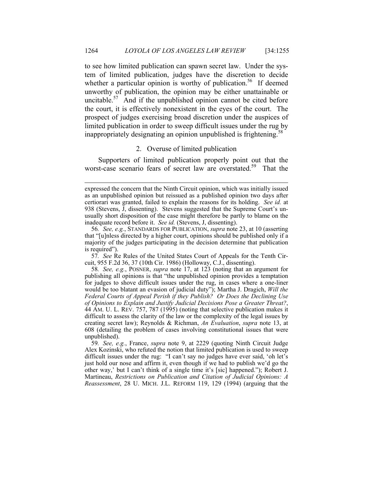to see how limited publication can spawn secret law. Under the system of limited publication, judges have the discretion to decide whether a particular opinion is worthy of publication.<sup>56</sup> If deemed unworthy of publication, the opinion may be either unattainable or uncitable. $57$  And if the unpublished opinion cannot be cited before the court, it is effectively nonexistent in the eyes of the court. The prospect of judges exercising broad discretion under the auspices of limited publication in order to sweep difficult issues under the rug by inappropriately designating an opinion unpublished is frightening.<sup>58</sup>

#### 2. Overuse of limited publication

Supporters of limited publication properly point out that the worst-case scenario fears of secret law are overstated.<sup>59</sup> That the

-

57*. See* Re Rules of the United States Court of Appeals for the Tenth Circuit, 955 F.2d 36, 37 (10th Cir. 1986) (Holloway, C.J., dissenting).

58*. See, e.g.*, POSNER, *supra* note 17, at 123 (noting that an argument for publishing all opinions is that "the unpublished opinion provides a temptation for judges to shove difficult issues under the rug, in cases where a one-liner would be too blatant an evasion of judicial duty"); Martha J. Dragich, *Will the Federal Courts of Appeal Perish if they Publish? Or Does the Declining Use of Opinions to Explain and Justify Judicial Decisions Pose a Greater Threat?*, 44 AM. U. L. REV. 757, 787 (1995) (noting that selective publication makes it difficult to assess the clarity of the law or the complexity of the legal issues by creating secret law); Reynolds & Richman, *An Evaluation*, *supra* note 13, at 608 (detailing the problem of cases involving constitutional issues that were unpublished).

59*. See, e.g.*, France, *supra* note 9, at 2229 (quoting Ninth Circuit Judge Alex Kozinski, who refuted the notion that limited publication is used to sweep difficult issues under the rug: "I can't say no judges have ever said, 'oh let's just hold our nose and affirm it, even though if we had to publish we'd go the other way,' but I can't think of a single time it's [sic] happened."); Robert J. Martineau, *Restrictions on Publication and Citation of Judicial Opinions: A Reassessment*, 28 U. MICH. J.L. REFORM 119, 129 (1994) (arguing that the

expressed the concern that the Ninth Circuit opinion, which was initially issued as an unpublished opinion but reissued as a published opinion two days after certiorari was granted, failed to explain the reasons for its holding. *See id.* at 938 (Stevens, J, dissenting). Stevens suggested that the Supreme Court's unusually short disposition of the case might therefore be partly to blame on the inadequate record before it. *See id.* (Stevens, J, dissenting).

<sup>56</sup>*. See, e.g.*, STANDARDS FOR PUBLICATION, *supra* note 23, at 10 (asserting that "[u]nless directed by a higher court, opinions should be published only if a majority of the judges participating in the decision determine that publication is required").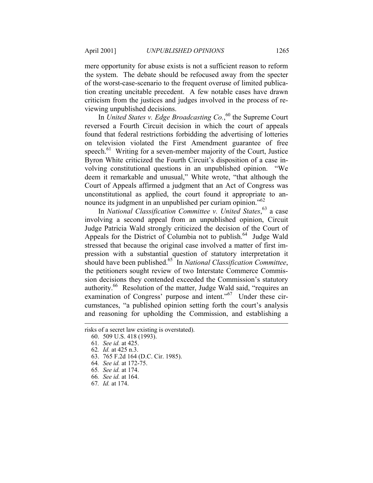mere opportunity for abuse exists is not a sufficient reason to reform the system. The debate should be refocused away from the specter of the worst-case-scenario to the frequent overuse of limited publication creating uncitable precedent. A few notable cases have drawn criticism from the justices and judges involved in the process of reviewing unpublished decisions.

In *United States v. Edge Broadcasting Co.*, 60 the Supreme Court reversed a Fourth Circuit decision in which the court of appeals found that federal restrictions forbidding the advertising of lotteries on television violated the First Amendment guarantee of free speech. $61$  Writing for a seven-member majority of the Court, Justice Byron White criticized the Fourth Circuit's disposition of a case involving constitutional questions in an unpublished opinion. "We deem it remarkable and unusual," White wrote, "that although the Court of Appeals affirmed a judgment that an Act of Congress was unconstitutional as applied, the court found it appropriate to announce its judgment in an unpublished per curiam opinion."<sup>62</sup>

In *National Classification Committee v. United States*, 63 a case involving a second appeal from an unpublished opinion, Circuit Judge Patricia Wald strongly criticized the decision of the Court of Appeals for the District of Columbia not to publish.<sup>64</sup> Judge Wald stressed that because the original case involved a matter of first impression with a substantial question of statutory interpretation it should have been published.65 In *National Classification Committee*, the petitioners sought review of two Interstate Commerce Commission decisions they contended exceeded the Commission's statutory authority.<sup>66</sup> Resolution of the matter, Judge Wald said, "requires an examination of Congress' purpose and intent."67 Under these circumstances, "a published opinion setting forth the court's analysis and reasoning for upholding the Commission, and establishing a

-

67*. Id.* at 174.

risks of a secret law existing is overstated).

 <sup>60. 509</sup> U.S. 418 (1993).

<sup>61</sup>*. See id.* at 425.

<sup>62</sup>*. Id.* at 425 n.3.

 <sup>63. 765</sup> F.2d 164 (D.C. Cir. 1985).

<sup>64</sup>*. See id.* at 172-75.

<sup>65</sup>*. See id.* at 174.

<sup>66</sup>*. See id.* at 164.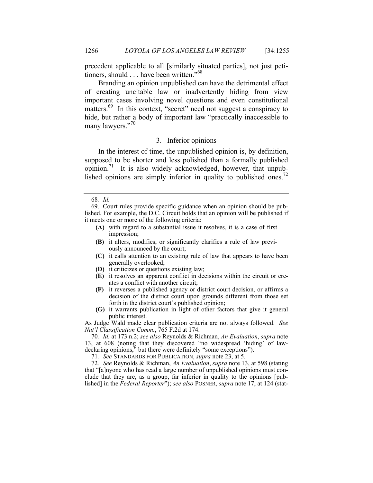precedent applicable to all [similarly situated parties], not just petitioners, should . . . have been written."<sup>68</sup>

Branding an opinion unpublished can have the detrimental effect of creating uncitable law or inadvertently hiding from view important cases involving novel questions and even constitutional matters.<sup>69</sup> In this context, "secret" need not suggest a conspiracy to hide, but rather a body of important law "practically inaccessible to many lawyers."<sup>70</sup>

## 3. Inferior opinions

In the interest of time, the unpublished opinion is, by definition, supposed to be shorter and less polished than a formally published opinion.<sup>71</sup> It is also widely acknowledged, however, that unpublished opinions are simply inferior in quality to published ones.<sup>72</sup>

- **(A)** with regard to a substantial issue it resolves, it is a case of first impression;
- **(B)** it alters, modifies, or significantly clarifies a rule of law previously announced by the court;
- **(C)** it calls attention to an existing rule of law that appears to have been generally overlooked;
- **(D)** it criticizes or questions existing law;
- **(E)** it resolves an apparent conflict in decisions within the circuit or creates a conflict with another circuit;
- **(F)** it reverses a published agency or district court decision, or affirms a decision of the district court upon grounds different from those set forth in the district court's published opinion;
- **(G)** it warrants publication in light of other factors that give it general public interest.

As Judge Wald made clear publication criteria are not always followed. *See Nat'l Classification Comm.*, 765 F.2d at 174.

70*. Id.* at 173 n.2; *see also* Reynolds & Richman, *An Evaluation*, *supra* note 13, at 608 (noting that they discovered "no widespread 'hiding' of lawdeclaring opinions," but there were definitely "some exceptions").

71*. See* STANDARDS FOR PUBLICATION, *supra* note 23, at 5.

72*. See* Reynolds & Richman, *An Evaluation*, *supra* note 13, at 598 (stating that "[a]nyone who has read a large number of unpublished opinions must conclude that they are, as a group, far inferior in quality to the opinions [published] in the *Federal Reporter*"); *see also* POSNER, *supra* note 17, at 124 (stat-

<sup>68</sup>*. Id.*

 <sup>69.</sup> Court rules provide specific guidance when an opinion should be published. For example, the D.C. Circuit holds that an opinion will be published if it meets one or more of the following criteria: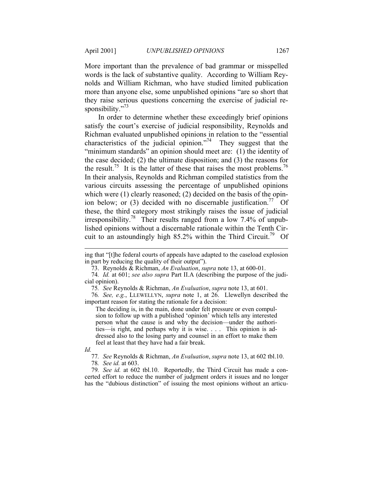More important than the prevalence of bad grammar or misspelled words is the lack of substantive quality. According to William Reynolds and William Richman, who have studied limited publication more than anyone else, some unpublished opinions "are so short that they raise serious questions concerning the exercise of judicial responsibility."<sup>73</sup>

In order to determine whether these exceedingly brief opinions satisfy the court's exercise of judicial responsibility, Reynolds and Richman evaluated unpublished opinions in relation to the "essential characteristics of the judicial opinion. $17<sup>74</sup>$  They suggest that the "minimum standards" an opinion should meet are: (1) the identity of the case decided; (2) the ultimate disposition; and (3) the reasons for the result.<sup>75</sup> It is the latter of these that raises the most problems.<sup>76</sup> In their analysis, Reynolds and Richman compiled statistics from the various circuits assessing the percentage of unpublished opinions which were (1) clearly reasoned; (2) decided on the basis of the opinion below; or  $(3)$  decided with no discernable justification.<sup>77</sup> Of these, the third category most strikingly raises the issue of judicial irresponsibility.78 Their results ranged from a low 7.4% of unpublished opinions without a discernable rationale within the Tenth Circuit to an astoundingly high  $85.2\%$  within the Third Circuit.<sup>79</sup> Of

74*. Id.* at 601; *see also supra* Part II.A (describing the purpose of the judicial opinion).

75*. See* Reynolds & Richman, *An Evaluation*, *supra* note 13, at 601.

76*. See, e.g.*, LLEWELLYN, *supra* note 1, at 26. Llewellyn described the important reason for stating the rationale for a decision:

The deciding is, in the main, done under felt pressure or even compulsion to follow up with a published 'opinion' which tells any interested person what the cause is and why the decision—under the authorities—is right, and perhaps why it is wise. . . . This opinion is addressed also to the losing party and counsel in an effort to make them feel at least that they have had a fair break.

*Id.* 

-

77*. See* Reynolds & Richman, *An Evaluation*, *supra* note 13, at 602 tbl.10. 78*. See id.* at 603.

79*. See id.* at 602 tbl.10. Reportedly, the Third Circuit has made a concerted effort to reduce the number of judgment orders it issues and no longer has the "dubious distinction" of issuing the most opinions without an articu-

ing that "[t]he federal courts of appeals have adapted to the caseload explosion in part by reducing the quality of their output").

 <sup>73.</sup> Reynolds & Richman, *An Evaluation*, *supra* note 13, at 600-01.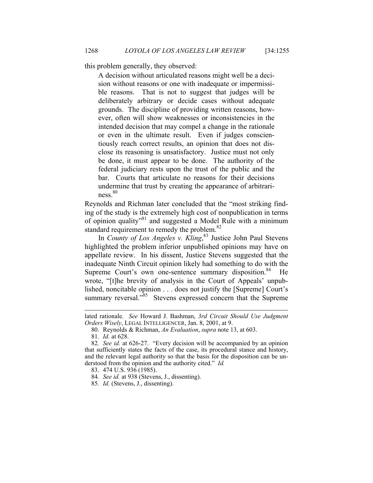this problem generally, they observed:

A decision without articulated reasons might well be a decision without reasons or one with inadequate or impermissible reasons. That is not to suggest that judges will be deliberately arbitrary or decide cases without adequate grounds. The discipline of providing written reasons, however, often will show weaknesses or inconsistencies in the intended decision that may compel a change in the rationale or even in the ultimate result. Even if judges conscientiously reach correct results, an opinion that does not disclose its reasoning is unsatisfactory. Justice must not only be done, it must appear to be done. The authority of the federal judiciary rests upon the trust of the public and the bar. Courts that articulate no reasons for their decisions undermine that trust by creating the appearance of arbitrari $ness.<sup>80</sup>$ 

Reynolds and Richman later concluded that the "most striking finding of the study is the extremely high cost of nonpublication in terms of opinion quality"81 and suggested a Model Rule with a minimum standard requirement to remedy the problem.<sup>82</sup>

In *County of Los Angeles v. Kling*, 83 Justice John Paul Stevens highlighted the problem inferior unpublished opinions may have on appellate review. In his dissent, Justice Stevens suggested that the inadequate Ninth Circuit opinion likely had something to do with the Supreme Court's own one-sentence summary disposition.<sup>84</sup> He wrote, "[t]he brevity of analysis in the Court of Appeals' unpublished, noncitable opinion . . . does not justify the [Supreme] Court's summary reversal."<sup>85</sup> Stevens expressed concern that the Supreme

-

lated rationale. *See* Howard J. Bashman, *3rd Circuit Should Use Judgment Orders Wisely*, LEGAL INTELLIGENCER, Jan. 8, 2001, at 9.

 <sup>80.</sup> Reynolds & Richman, *An Evaluation*, *supra* note 13, at 603.

<sup>81</sup>*. Id.* at 628.

<sup>82</sup>*. See id.* at 626-27. "Every decision will be accompanied by an opinion that sufficiently states the facts of the case, its procedural stance and history, and the relevant legal authority so that the basis for the disposition can be understood from the opinion and the authority cited." *Id.*

 <sup>83. 474</sup> U.S. 936 (1985).

<sup>84</sup>*. See id.* at 938 (Stevens, J., dissenting).

<sup>85</sup>*. Id.* (Stevens, J., dissenting).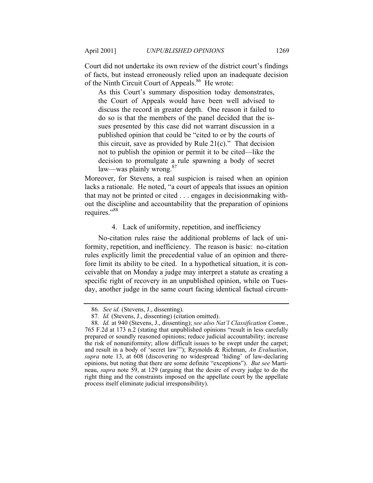Court did not undertake its own review of the district court's findings of facts, but instead erroneously relied upon an inadequate decision of the Ninth Circuit Court of Appeals.<sup>86</sup> He wrote:

As this Court's summary disposition today demonstrates, the Court of Appeals would have been well advised to discuss the record in greater depth. One reason it failed to do so is that the members of the panel decided that the issues presented by this case did not warrant discussion in a published opinion that could be "cited to or by the courts of this circuit, save as provided by Rule  $21(c)$ ." That decision not to publish the opinion or permit it to be cited—like the decision to promulgate a rule spawning a body of secret law—was plainly wrong. $87$ 

Moreover, for Stevens, a real suspicion is raised when an opinion lacks a rationale. He noted, "a court of appeals that issues an opinion that may not be printed or cited . . . engages in decisionmaking without the discipline and accountability that the preparation of opinions requires."<sup>88</sup>

#### 4. Lack of uniformity, repetition, and inefficiency

No-citation rules raise the additional problems of lack of uniformity, repetition, and inefficiency. The reason is basic: no-citation rules explicitly limit the precedential value of an opinion and therefore limit its ability to be cited. In a hypothetical situation, it is conceivable that on Monday a judge may interpret a statute as creating a specific right of recovery in an unpublished opinion, while on Tuesday, another judge in the same court facing identical factual circum-

<sup>86</sup>*. See id.* (Stevens, J., dissenting).

<sup>87</sup>*. Id.* (Stevens, J., dissenting) (citation omitted).

<sup>88</sup>*. Id.* at 940 (Stevens, J., dissenting); *see also Nat'l Classification Comm.*, 765 F.2d at 173 n.2 (stating that unpublished opinions "result in less carefully prepared or soundly reasoned opinions; reduce judicial accountability; increase the risk of nonuniformity; allow difficult issues to be swept under the carpet; and result in a body of 'secret law'"); Reynolds & Richman, *An Evaluation*, *supra* note 13, at 608 (discovering no widespread 'hiding' of law-declaring opinions, but noting that there are some definite "exceptions"). *But see* Martineau, *supra* note 59, at 129 (arguing that the desire of every judge to do the right thing and the constraints imposed on the appellate court by the appellate process itself eliminate judicial irresponsibility).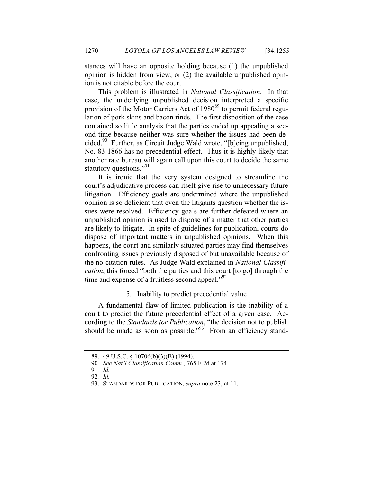stances will have an opposite holding because (1) the unpublished opinion is hidden from view, or (2) the available unpublished opinion is not citable before the court.

This problem is illustrated in *National Classification*. In that case, the underlying unpublished decision interpreted a specific provision of the Motor Carriers Act of 1980<sup>89</sup> to permit federal regulation of pork skins and bacon rinds. The first disposition of the case contained so little analysis that the parties ended up appealing a second time because neither was sure whether the issues had been decided. $90$  Further, as Circuit Judge Wald wrote, "[b]eing unpublished, No. 83-1866 has no precedential effect. Thus it is highly likely that another rate bureau will again call upon this court to decide the same statutory questions."<sup>91</sup>

It is ironic that the very system designed to streamline the court's adjudicative process can itself give rise to unnecessary future litigation. Efficiency goals are undermined where the unpublished opinion is so deficient that even the litigants question whether the issues were resolved. Efficiency goals are further defeated where an unpublished opinion is used to dispose of a matter that other parties are likely to litigate. In spite of guidelines for publication, courts do dispose of important matters in unpublished opinions. When this happens, the court and similarly situated parties may find themselves confronting issues previously disposed of but unavailable because of the no-citation rules. As Judge Wald explained in *National Classification*, this forced "both the parties and this court [to go] through the time and expense of a fruitless second appeal. $^{92}$ 

#### 5. Inability to predict precedential value

A fundamental flaw of limited publication is the inability of a court to predict the future precedential effect of a given case. According to the *Standards for Publication*, "the decision not to publish should be made as soon as possible."<sup>93</sup> From an efficiency stand-

 <sup>89. 49</sup> U.S.C. § 10706(b)(3)(B) (1994).

<sup>90</sup>*. See Nat'l Classification Comm.*, 765 F.2d at 174.

<sup>91</sup>*. Id.* 92*. Id.*

 <sup>93.</sup> STANDARDS FOR PUBLICATION, *supra* note 23, at 11.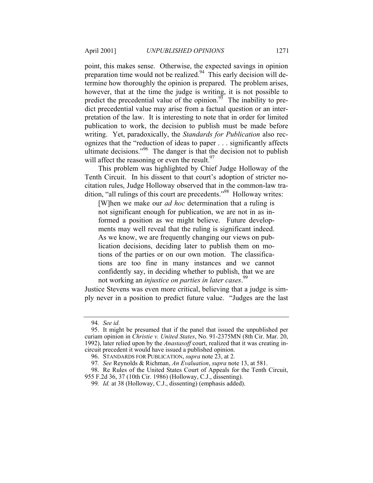point, this makes sense. Otherwise, the expected savings in opinion preparation time would not be realized.<sup>94</sup> This early decision will determine how thoroughly the opinion is prepared. The problem arises, however, that at the time the judge is writing, it is not possible to predict the precedential value of the opinion.<sup>95</sup> The inability to predict precedential value may arise from a factual question or an interpretation of the law. It is interesting to note that in order for limited publication to work, the decision to publish must be made before writing. Yet, paradoxically, the *Standards for Publication* also recognizes that the "reduction of ideas to paper . . . significantly affects ultimate decisions."96 The danger is that the decision not to publish will affect the reasoning or even the result.  $97$ 

This problem was highlighted by Chief Judge Holloway of the Tenth Circuit. In his dissent to that court's adoption of stricter nocitation rules, Judge Holloway observed that in the common-law tradition, "all rulings of this court are precedents."98 Holloway writes:

[W]hen we make our *ad hoc* determination that a ruling is not significant enough for publication, we are not in as informed a position as we might believe. Future developments may well reveal that the ruling is significant indeed. As we know, we are frequently changing our views on publication decisions, deciding later to publish them on motions of the parties or on our own motion. The classifications are too fine in many instances and we cannot confidently say, in deciding whether to publish, that we are not working an *injustice on parties in later cases*. 99

Justice Stevens was even more critical, believing that a judge is simply never in a position to predict future value. "Judges are the last

955 F.2d 36, 37 (10th Cir. 1986) (Holloway, C.J., dissenting).

<sup>94</sup>*. See id.*

 <sup>95.</sup> It might be presumed that if the panel that issued the unpublished per curiam opinion in *Christie v. United States*, No. 91-2375MN (8th Cir. Mar. 20, 1992), later relied upon by the *Anastasoff* court, realized that it was creating incircuit precedent it would have issued a published opinion.

 <sup>96.</sup> STANDARDS FOR PUBLICATION, *supra* note 23, at 2.

<sup>97</sup>*. See* Reynolds & Richman, *An Evaluation*, *supra* note 13, at 581.

 <sup>98.</sup> Re Rules of the United States Court of Appeals for the Tenth Circuit,

<sup>99</sup>*. Id.* at 38 (Holloway, C.J., dissenting) (emphasis added).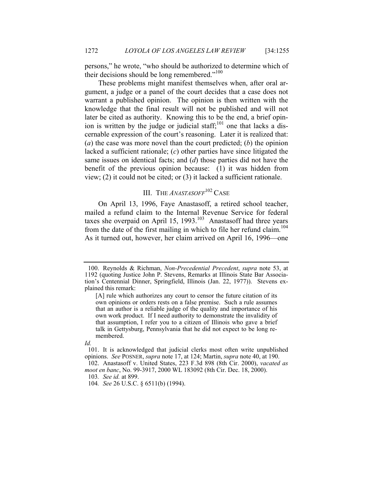persons," he wrote, "who should be authorized to determine which of their decisions should be long remembered."<sup>100</sup>

These problems might manifest themselves when, after oral argument, a judge or a panel of the court decides that a case does not warrant a published opinion. The opinion is then written with the knowledge that the final result will not be published and will not later be cited as authority. Knowing this to be the end, a brief opinion is written by the judge or judicial staff; $^{101}$  one that lacks a discernable expression of the court's reasoning. Later it is realized that: (*a*) the case was more novel than the court predicted; (*b*) the opinion lacked a sufficient rationale; (*c*) other parties have since litigated the same issues on identical facts; and (*d*) those parties did not have the benefit of the previous opinion because: (1) it was hidden from view; (2) it could not be cited; or (3) it lacked a sufficient rationale.

## III. THE *ANASTASOFF*<sup>102</sup> CASE

On April 13, 1996, Faye Anastasoff, a retired school teacher, mailed a refund claim to the Internal Revenue Service for federal taxes she overpaid on April 15, 1993.<sup>103</sup> Anastasoff had three years from the date of the first mailing in which to file her refund claim.<sup>104</sup> As it turned out, however, her claim arrived on April 16, 1996—one

 <sup>100.</sup> Reynolds & Richman, *Non-Precedential Precedent*, *supra* note 53, at 1192 (quoting Justice John P. Stevens, Remarks at Illinois State Bar Association's Centennial Dinner, Springfield, Illinois (Jan. 22, 1977)). Stevens explained this remark:

<sup>[</sup>A] rule which authorizes any court to censor the future citation of its own opinions or orders rests on a false premise. Such a rule assumes that an author is a reliable judge of the quality and importance of his own work product. If I need authority to demonstrate the invalidity of that assumption, I refer you to a citizen of Illinois who gave a brief talk in Gettysburg, Pennsylvania that he did not expect to be long remembered.

*Id.*

 <sup>101.</sup> It is acknowledged that judicial clerks most often write unpublished opinions. *See* POSNER, *supra* note 17, at 124; Martin, *supra* note 40, at 190. 102. Anastasoff v. United States, 223 F.3d 898 (8th Cir. 2000), *vacated as* 

*moot en banc*, No. 99-3917, 2000 WL 183092 (8th Cir. Dec. 18, 2000).

<sup>103</sup>*. See id.* at 899.

<sup>104</sup>*. See* 26 U.S.C. § 6511(b) (1994).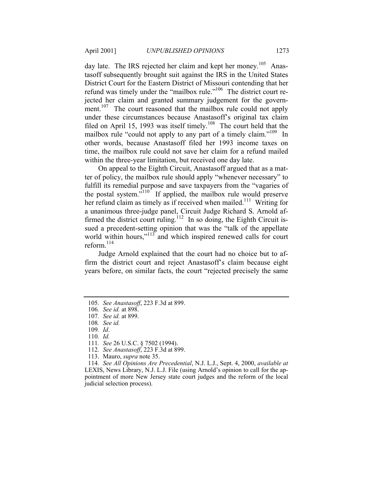day late. The IRS rejected her claim and kept her money.<sup>105</sup> Anastasoff subsequently brought suit against the IRS in the United States District Court for the Eastern District of Missouri contending that her refund was timely under the "mailbox rule."<sup>106</sup> The district court rejected her claim and granted summary judgement for the government.<sup>107</sup> The court reasoned that the mailbox rule could not apply under these circumstances because Anastasoff's original tax claim filed on April 15, 1993 was itself timely.<sup>108</sup> The court held that the mailbox rule "could not apply to any part of a timely claim."<sup>109</sup> In other words, because Anastasoff filed her 1993 income taxes on time, the mailbox rule could not save her claim for a refund mailed within the three-year limitation, but received one day late.

On appeal to the Eighth Circuit, Anastasoff argued that as a matter of policy, the mailbox rule should apply "whenever necessary" to fulfill its remedial purpose and save taxpayers from the "vagaries of the postal system. $\frac{110}{10}$  If applied, the mailbox rule would preserve her refund claim as timely as if received when mailed.<sup>111</sup> Writing for a unanimous three-judge panel, Circuit Judge Richard S. Arnold affirmed the district court ruling.<sup>112</sup> In so doing, the Eighth Circuit issued a precedent-setting opinion that was the "talk of the appellate world within hours,"<sup>113</sup> and which inspired renewed calls for court reform. $^{114}$ 

Judge Arnold explained that the court had no choice but to affirm the district court and reject Anastasoff's claim because eight years before, on similar facts, the court "rejected precisely the same

<sup>105</sup>*. See Anastasoff*, 223 F.3d at 899.

<sup>106</sup>*. See id.* at 898.

<sup>107</sup>*. See id.* at 899.

<sup>108</sup>*. See id.*

<sup>109</sup>*. Id*.

<sup>110</sup>*. Id.*

<sup>111</sup>*. See* 26 U.S.C. § 7502 (1994).

<sup>112</sup>*. See Anastasoff*, 223 F.3d at 899.

 <sup>113.</sup> Mauro, *supra* note 35.

<sup>114</sup>*. See All Opinions Are Precedential*, N.J. L.J., Sept. 4, 2000, *available at* LEXIS, News Library, N.J. L.J. File (using Arnold's opinion to call for the appointment of more New Jersey state court judges and the reform of the local judicial selection process).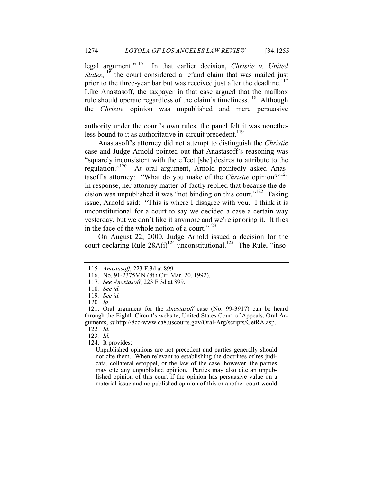legal argument."115 In that earlier decision, *Christie v. United States*,<sup>116</sup>, the court considered a refund claim that was mailed just prior to the three-year bar but was received just after the deadline.<sup>117</sup> Like Anastasoff, the taxpayer in that case argued that the mailbox rule should operate regardless of the claim's timeliness.<sup>118</sup> Although the *Christie* opinion was unpublished and mere persuasive

authority under the court's own rules, the panel felt it was nonetheless bound to it as authoritative in-circuit precedent.<sup>119</sup>

Anastasoff's attorney did not attempt to distinguish the *Christie* case and Judge Arnold pointed out that Anastasoff's reasoning was "squarely inconsistent with the effect [she] desires to attribute to the regulation."<sup>120</sup> At oral argument, Arnold pointedly asked Anastasoff's attorney: "What do you make of the *Christie* opinion?"<sup>121</sup> In response, her attorney matter-of-factly replied that because the decision was unpublished it was "not binding on this court."<sup>122</sup> Taking issue, Arnold said: "This is where I disagree with you. I think it is unconstitutional for a court to say we decided a case a certain way yesterday, but we don't like it anymore and we're ignoring it. It flies in the face of the whole notion of a court." $123$ 

On August 22, 2000, Judge Arnold issued a decision for the court declaring Rule  $28A(i)^{124}$  unconstitutional.<sup>125</sup> The Rule, "inso-

122*. Id.*

123*. Id.*

124. It provides:

Unpublished opinions are not precedent and parties generally should not cite them. When relevant to establishing the doctrines of res judicata, collateral estoppel, or the law of the case, however, the parties may cite any unpublished opinion. Parties may also cite an unpublished opinion of this court if the opinion has persuasive value on a material issue and no published opinion of this or another court would

<sup>115</sup>*. Anastasoff*, 223 F.3d at 899.

 <sup>116.</sup> No. 91-2375MN (8th Cir. Mar. 20, 1992).

<sup>117</sup>*. See Anastasoff*, 223 F.3d at 899.

<sup>118</sup>*. See id.*

<sup>119</sup>*. See id.*

<sup>120</sup>*. Id.*

 <sup>121.</sup> Oral argument for the *Anastasoff* case (No. 99-3917) can be heard through the Eighth Circuit's website, United States Court of Appeals, Oral Arguments, *at* http://8cc-www.ca8.uscourts.gov/Oral-Arg/scripts/GetRA.asp.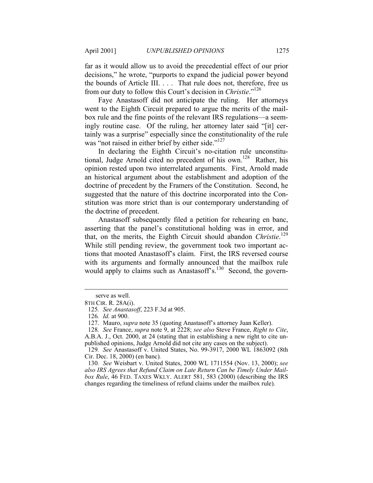far as it would allow us to avoid the precedential effect of our prior decisions," he wrote, "purports to expand the judicial power beyond the bounds of Article III. . . . That rule does not, therefore, free us from our duty to follow this Court's decision in *Christie*."126

Faye Anastasoff did not anticipate the ruling. Her attorneys went to the Eighth Circuit prepared to argue the merits of the mailbox rule and the fine points of the relevant IRS regulations—a seemingly routine case. Of the ruling, her attorney later said "[it] certainly was a surprise" especially since the constitutionality of the rule was "not raised in either brief by either side."<sup>127</sup>

In declaring the Eighth Circuit's no-citation rule unconstitutional, Judge Arnold cited no precedent of his own.128 Rather, his opinion rested upon two interrelated arguments. First, Arnold made an historical argument about the establishment and adoption of the doctrine of precedent by the Framers of the Constitution. Second, he suggested that the nature of this doctrine incorporated into the Constitution was more strict than is our contemporary understanding of the doctrine of precedent.

Anastasoff subsequently filed a petition for rehearing en banc, asserting that the panel's constitutional holding was in error, and that, on the merits, the Eighth Circuit should abandon *Christie*. 129 While still pending review, the government took two important actions that mooted Anastasoff's claim. First, the IRS reversed course with its arguments and formally announced that the mailbox rule would apply to claims such as Anastasoff's.<sup>130</sup> Second, the govern-

1

serve as well.

<sup>8</sup>TH CIR. R. 28A(i).

<sup>125</sup>*. See Anastasoff*, 223 F.3d at 905.

<sup>126</sup>*. Id.* at 900.

 <sup>127.</sup> Mauro, *supra* note 35 (quoting Anastasoff's attorney Juan Keller).

<sup>128</sup>*. See* France, *supra* note 9, at 2228; *see also* Steve France, *Right to Cite*, A.B.A. J., Oct. 2000, at 24 (stating that in establishing a new right to cite unpublished opinions, Judge Arnold did not cite any cases on the subject).

<sup>129</sup>*. See* Anastasoff v. United States, No. 99-3917, 2000 WL 1863092 (8th Cir. Dec. 18, 2000) (en banc)*.*

<sup>130</sup>*. See* Weisbart v. United States, 2000 WL 1711554 (Nov. 13, 2000); *see also IRS Agrees that Refund Claim on Late Return Can be Timely Under Mailbox Rule*, 46 FED. TAXES WKLY. ALERT 581, 583 (2000) (describing the IRS changes regarding the timeliness of refund claims under the mailbox rule).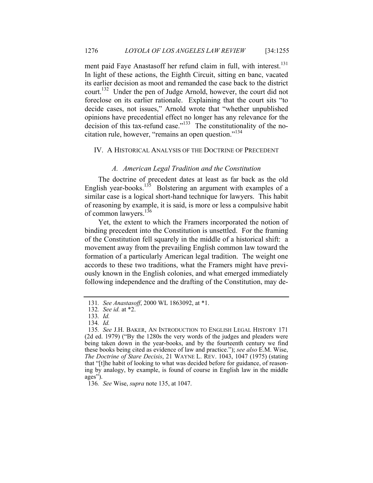ment paid Faye Anastasoff her refund claim in full, with interest.<sup>131</sup> In light of these actions, the Eighth Circuit, sitting en banc, vacated its earlier decision as moot and remanded the case back to the district court.<sup>132</sup> Under the pen of Judge Arnold, however, the court did not foreclose on its earlier rationale. Explaining that the court sits "to decide cases, not issues," Arnold wrote that "whether unpublished opinions have precedential effect no longer has any relevance for the decision of this tax-refund case."<sup>133</sup> The constitutionality of the nocitation rule, however, "remains an open question."<sup>134</sup>

#### IV. A HISTORICAL ANALYSIS OF THE DOCTRINE OF PRECEDENT

#### *A. American Legal Tradition and the Constitution*

The doctrine of precedent dates at least as far back as the old English year-books.<sup>135</sup> Bolstering an argument with examples of a similar case is a logical short-hand technique for lawyers. This habit of reasoning by example, it is said, is more or less a compulsive habit of common lawyers.<sup>136</sup>

Yet, the extent to which the Framers incorporated the notion of binding precedent into the Constitution is unsettled. For the framing of the Constitution fell squarely in the middle of a historical shift: a movement away from the prevailing English common law toward the formation of a particularly American legal tradition. The weight one accords to these two traditions, what the Framers might have previously known in the English colonies, and what emerged immediately following independence and the drafting of the Constitution, may de-

136*. See* Wise, *supra* note 135, at 1047.

<sup>131</sup>*. See Anastasoff*, 2000 WL 1863092, at \*1.

<sup>132</sup>*. See id.* at \*2.

<sup>133</sup>*. Id.*

<sup>134</sup>*. Id.*

<sup>135</sup>*. See* J.H. BAKER, AN INTRODUCTION TO ENGLISH LEGAL HISTORY 171 (2d ed. 1979) ("By the 1280s the very words of the judges and pleaders were being taken down in the year-books, and by the fourteenth century we find these books being cited as evidence of law and practice."); *see also* E.M. Wise, *The Doctrine of Stare Decisis*, 21 WAYNE L. REV. 1043, 1047 (1975) (stating that "[t]he habit of looking to what was decided before for guidance, of reasoning by analogy, by example, is found of course in English law in the middle ages").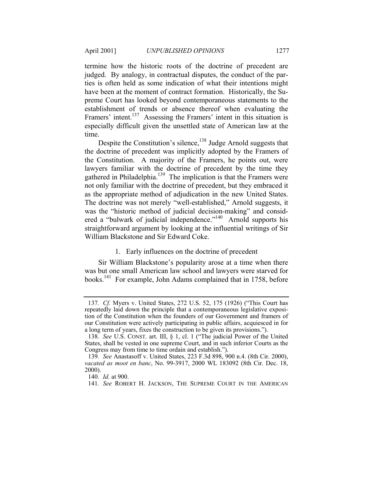termine how the historic roots of the doctrine of precedent are judged. By analogy, in contractual disputes, the conduct of the parties is often held as some indication of what their intentions might have been at the moment of contract formation. Historically, the Supreme Court has looked beyond contemporaneous statements to the establishment of trends or absence thereof when evaluating the Framers' intent.<sup>137</sup> Assessing the Framers' intent in this situation is especially difficult given the unsettled state of American law at the time.

Despite the Constitution's silence,<sup>138</sup> Judge Arnold suggests that the doctrine of precedent was implicitly adopted by the Framers of the Constitution. A majority of the Framers, he points out, were lawyers familiar with the doctrine of precedent by the time they gathered in Philadelphia.<sup>139</sup> The implication is that the Framers were not only familiar with the doctrine of precedent, but they embraced it as the appropriate method of adjudication in the new United States. The doctrine was not merely "well-established," Arnold suggests, it was the "historic method of judicial decision-making" and considered a "bulwark of judicial independence."140 Arnold supports his straightforward argument by looking at the influential writings of Sir William Blackstone and Sir Edward Coke.

## 1. Early influences on the doctrine of precedent

Sir William Blackstone's popularity arose at a time when there was but one small American law school and lawyers were starved for books.<sup>141</sup> For example, John Adams complained that in 1758, before

<sup>137</sup>*. Cf.* Myers v. United States, 272 U.S. 52, 175 (1926) ("This Court has repeatedly laid down the principle that a contemporaneous legislative exposition of the Constitution when the founders of our Government and framers of our Constitution were actively participating in public affairs, acquiesced in for a long term of years, fixes the construction to be given its provisions.").

<sup>138</sup>*. See* U.S. CONST. art. III, § 1, cl. 1 ("The judicial Power of the United States, shall be vested in one supreme Court, and in such inferior Courts as the Congress may from time to time ordain and establish.").

<sup>139</sup>*. See* Anastasoff v. United States, 223 F.3d 898, 900 n.4. (8th Cir. 2000), *vacated as moot en banc*, No. 99-3917, 2000 WL 183092 (8th Cir. Dec. 18, 2000).

<sup>140</sup>*. Id.* at 900.

<sup>141</sup>*. See* ROBERT H. JACKSON, THE SUPREME COURT IN THE AMERICAN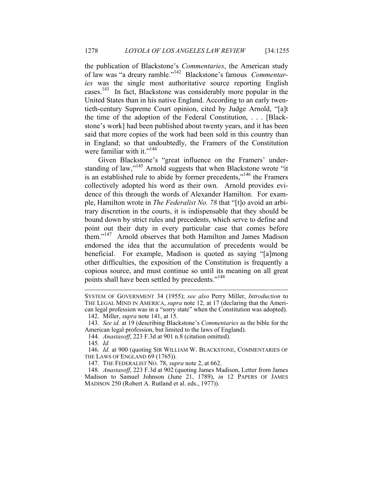the publication of Blackstone's *Commentaries*, the American study of law was "a dreary ramble."142 Blackstone's famous *Commentaries* was the single most authoritative source reporting English cases.<sup>143</sup> In fact, Blackstone was considerably more popular in the United States than in his native England. According to an early twentieth-century Supreme Court opinion, cited by Judge Arnold, "[a]t the time of the adoption of the Federal Constitution, . . . [Blackstone's work] had been published about twenty years, and it has been said that more copies of the work had been sold in this country than in England; so that undoubtedly, the Framers of the Constitution were familiar with it."<sup>144</sup>

Given Blackstone's "great influence on the Framers' understanding of law,"<sup>145</sup> Arnold suggests that when Blackstone wrote "it" is an established rule to abide by former precedents,"<sup>146</sup> the Framers collectively adopted his word as their own. Arnold provides evidence of this through the words of Alexander Hamilton. For example, Hamilton wrote in *The Federalist No. 78* that "[t]o avoid an arbitrary discretion in the courts, it is indispensable that they should be bound down by strict rules and precedents, which serve to define and point out their duty in every particular case that comes before them."<sup>147</sup> Arnold observes that both Hamilton and James Madison endorsed the idea that the accumulation of precedents would be beneficial. For example, Madison is quoted as saying "[a]mong other difficulties, the exposition of the Constitution is frequently a copious source, and must continue so until its meaning on all great points shall have been settled by precedents."<sup>148</sup>

-

SYSTEM OF GOVERNMENT 34 (1955); *see also* Perry Miller, *Introduction* to THE LEGAL MIND IN AMERICA, *supra* note 12, at 17 (declaring that the American legal profession was in a "sorry state" when the Constitution was adopted).

 <sup>142.</sup> Miller, *supra* note 141, at 15.

<sup>143</sup>*. See id.* at 19 (describing Blackstone's *Commentaries* as the bible for the American legal profession, but limited to the laws of England).

<sup>144</sup>*. Anastasoff*, 223 F.3d at 901 n.8 (citation omitted).

<sup>145</sup>*. Id.*

<sup>146</sup>*. Id.* at 900 (quoting SIR WILLIAM W. BLACKSTONE, COMMENTARIES OF THE LAWS OF ENGLAND 69 (1765)).

 <sup>147.</sup> THE FEDERALIST NO. 78, *supra* note 2, at 662.

<sup>148</sup>*. Anastasoff*, 223 F.3d at 902 (quoting James Madison, Letter from James Madison to Samuel Johnson (June 21, 1789), *in* 12 PAPERS OF JAMES MADISON 250 (Robert A. Rutland et al. eds., 1977)).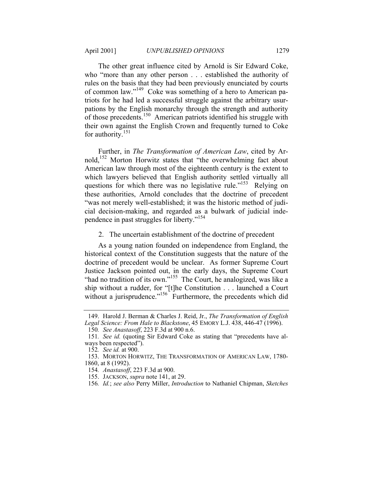The other great influence cited by Arnold is Sir Edward Coke, who "more than any other person . . . established the authority of rules on the basis that they had been previously enunciated by courts of common law."149 Coke was something of a hero to American patriots for he had led a successful struggle against the arbitrary usurpations by the English monarchy through the strength and authority of those precedents.150 American patriots identified his struggle with their own against the English Crown and frequently turned to Coke for authority. $151$ 

Further, in *The Transformation of American Law*, cited by Arnold,152 Morton Horwitz states that "the overwhelming fact about American law through most of the eighteenth century is the extent to which lawyers believed that English authority settled virtually all questions for which there was no legislative rule."<sup>153</sup> Relying on these authorities, Arnold concludes that the doctrine of precedent "was not merely well-established; it was the historic method of judicial decision-making, and regarded as a bulwark of judicial independence in past struggles for liberty."<sup>154</sup>

2. The uncertain establishment of the doctrine of precedent

As a young nation founded on independence from England, the historical context of the Constitution suggests that the nature of the doctrine of precedent would be unclear. As former Supreme Court Justice Jackson pointed out, in the early days, the Supreme Court "had no tradition of its own."155 The Court, he analogized, was like a ship without a rudder, for "[t]he Constitution . . . launched a Court without a jurisprudence."<sup>156</sup> Furthermore, the precedents which did

 <sup>149.</sup> Harold J. Berman & Charles J. Reid, Jr., *The Transformation of English Legal Science: From Hale to Blackstone*, 45 EMORY L.J. 438, 446-47 (1996).

<sup>150</sup>*. See Anastasoff*, 223 F.3d at 900 n.6.

<sup>151</sup>*. See id.* (quoting Sir Edward Coke as stating that "precedents have always been respected").

<sup>152</sup>*. See id.* at 900.

 <sup>153.</sup> MORTON HORWITZ, THE TRANSFORMATION OF AMERICAN LAW, 1780- 1860, at 8 (1992).

<sup>154</sup>*. Anastasoff*, 223 F.3d at 900.

 <sup>155.</sup> JACKSON, *supra* note 141, at 29.

<sup>156</sup>*. Id.*; *see also* Perry Miller, *Introduction* to Nathaniel Chipman, *Sketches*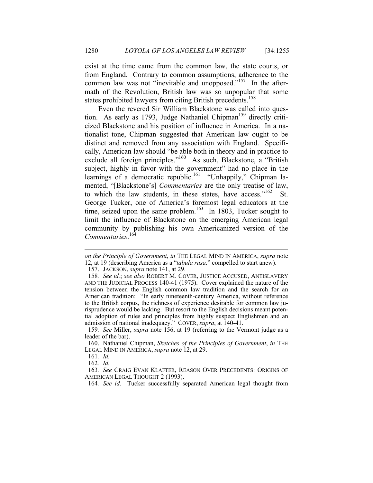exist at the time came from the common law, the state courts, or from England. Contrary to common assumptions, adherence to the common law was not "inevitable and unopposed."<sup>157</sup> In the aftermath of the Revolution, British law was so unpopular that some states prohibited lawyers from citing British precedents.<sup>158</sup>

Even the revered Sir William Blackstone was called into question. As early as 1793, Judge Nathaniel Chipman<sup>159</sup> directly criticized Blackstone and his position of influence in America. In a nationalist tone, Chipman suggested that American law ought to be distinct and removed from any association with England. Specifically, American law should "be able both in theory and in practice to exclude all foreign principles."160 As such, Blackstone, a "British subject, highly in favor with the government" had no place in the learnings of a democratic republic.<sup>161</sup> "Unhappily," Chipman lamented, "[Blackstone's] *Commentaries* are the only treatise of law, to which the law students, in these states, have access." $162$  St. George Tucker, one of America's foremost legal educators at the time, seized upon the same problem.<sup>163</sup> In 1803, Tucker sought to limit the influence of Blackstone on the emerging American legal community by publishing his own Americanized version of the *Commentaries*. 164

-

162*. Id.*

*on the Principle of Government*, *in* THE LEGAL MIND IN AMERICA, *supra* note 12, at 19 (describing America as a "*tabula rasa,*" compelled to start anew).

 <sup>157.</sup> JACKSON, *supra* note 141, at 29.

<sup>158</sup>*. See id.*; *see also* ROBERT M. COVER, JUSTICE ACCUSED, ANTISLAVERY AND THE JUDICIAL PROCESS 140-41 (1975). Cover explained the nature of the tension between the English common law tradition and the search for an American tradition: "In early nineteenth-century America, without reference to the British corpus, the richness of experience desirable for common law jurisprudence would be lacking. But resort to the English decisions meant potential adoption of rules and principles from highly suspect Englishmen and an admission of national inadequacy." COVER, *supra*, at 140-41.

<sup>159</sup>*. See* Miller, *supra* note 156, at 19 (referring to the Vermont judge as a leader of the bar).

 <sup>160.</sup> Nathaniel Chipman, *Sketches of the Principles of Government*, *in* THE LEGAL MIND IN AMERICA, *supra* note 12, at 29.

<sup>161</sup>*. Id.*

<sup>163</sup>*. See* CRAIG EVAN KLAFTER, REASON OVER PRECEDENTS: ORIGINS OF AMERICAN LEGAL THOUGHT 2 (1993).

<sup>164</sup>*. See id.* Tucker successfully separated American legal thought from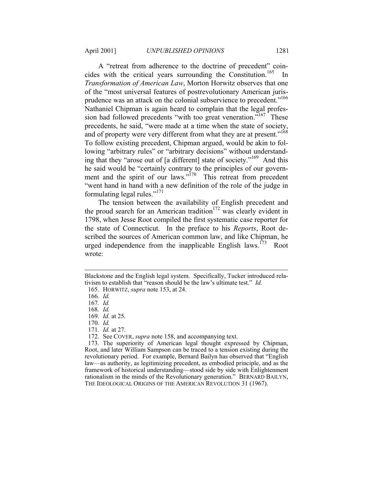A "retreat from adherence to the doctrine of precedent" coincides with the critical years surrounding the Constitution.<sup>165</sup> In *Transformation of American Law*, Morton Horwitz observes that one of the "most universal features of postrevolutionary American jurisprudence was an attack on the colonial subservience to precedent."<sup>166</sup> Nathaniel Chipman is again heard to complain that the legal profession had followed precedents "with too great veneration."<sup>167</sup> These precedents, he said, "were made at a time when the state of society, and of property were very different from what they are at present."<sup>168</sup> To follow existing precedent, Chipman argued, would be akin to following "arbitrary rules" or "arbitrary decisions" without understanding that they "arose out of [a different] state of society."169 And this he said would be "certainly contrary to the principles of our government and the spirit of our laws."<sup>170</sup> This retreat from precedent "went hand in hand with a new definition of the role of the judge in formulating legal rules."171

The tension between the availability of English precedent and the proud search for an American tradition<sup>172</sup> was clearly evident in 1798, when Jesse Root compiled the first systematic case reporter for the state of Connecticut. In the preface to his *Reports*, Root described the sources of American common law, and like Chipman, he urged independence from the inapplicable English laws.<sup>173</sup> Root wrote:

-

- 170*. Id.*
- 171*. Id.* at 27.

Blackstone and the English legal system. Specifically, Tucker introduced relativism to establish that "reason should be the law's ultimate test." *Id.*

 <sup>165.</sup> HORWITZ, *supra* note 153, at 24.

<sup>166</sup>*. Id.*

<sup>167</sup>*. Id.*

<sup>168</sup>*. Id.*

<sup>169</sup>*. Id.* at 25.

<sup>172</sup>*.* See COVER, *supra* note 158, and accompanying text.

 <sup>173.</sup> The superiority of American legal thought expressed by Chipman, Root, and later William Sampson can be traced to a tension existing during the revolutionary period. For example, Bernard Bailyn has observed that "English law—as authority, as legitimizing precedent, as embodied principle, and as the framework of historical understanding—stood side by side with Enlightenment rationalism in the minds of the Revolutionary generation." BERNARD BAILYN, THE IDEOLOGICAL ORIGINS OF THE AMERICAN REVOLUTION 31 (1967).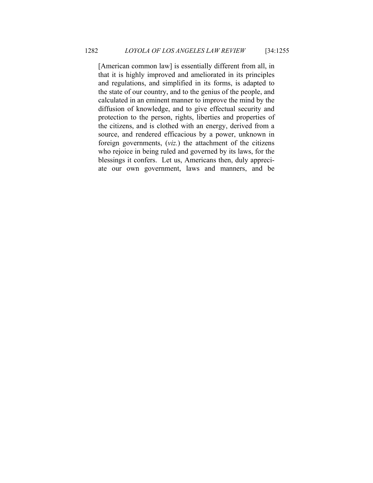[American common law] is essentially different from all, in that it is highly improved and ameliorated in its principles and regulations, and simplified in its forms, is adapted to the state of our country, and to the genius of the people, and calculated in an eminent manner to improve the mind by the diffusion of knowledge, and to give effectual security and protection to the person, rights, liberties and properties of the citizens, and is clothed with an energy, derived from a source, and rendered efficacious by a power, unknown in foreign governments, (*viz.*) the attachment of the citizens who rejoice in being ruled and governed by its laws, for the blessings it confers. Let us, Americans then, duly appreciate our own government, laws and manners, and be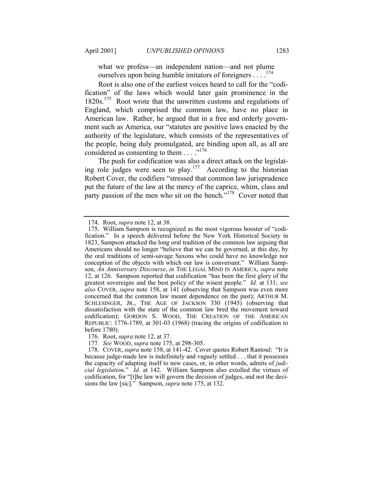what we profess—an independent nation—and not plume ourselves upon being humble imitators of foreigners . . . .174

Root is also one of the earliest voices heard to call for the "codification" of the laws which would later gain prominence in the  $1820s$ <sup>175</sup> Root wrote that the unwritten customs and regulations of England, which comprised the common law, have no place in American law. Rather, he argued that in a free and orderly government such as America, our "statutes are positive laws enacted by the authority of the legislature, which consists of the representatives of the people, being duly promulgated, are binding upon all, as all are considered as consenting to them . . . . .<sup>176</sup>

The push for codification was also a direct attack on the legislating role judges were seen to play.177 According to the historian Robert Cover, the codifiers "stressed that common law jurisprudence put the future of the law at the mercy of the caprice, whim, class and party passion of the men who sit on the bench."<sup>178</sup> Cover noted that

 <sup>174.</sup> Root, *supra* note 12, at 38.

 <sup>175.</sup> William Sampson is recognized as the most vigorous booster of "codification." In a speech delivered before the New York Historical Society in 1823, Sampson attacked the long oral tradition of the common law arguing that Americans should no longer "believe that we can be governed, at this day, by the oral traditions of semi-savage Saxons who could have no knowledge nor conception of the objects with which our law is conversant." William Sampson, *An Anniversary Discourse*, *in* THE LEGAL MIND IN AMERICA, *supra* note 12, at 126. Sampson reported that codification "has been the first glory of the greatest sovereigns and the best policy of the wisest people." *Id.* at 131; *see also* COVER, *supra* note 158, at 141 (observing that Sampson was even more concerned that the common law meant dependence on the past); ARTHUR M. SCHLESINGER, JR., THE AGE OF JACKSON 330 (1945) (observing that dissatisfaction with the state of the common law bred the movement toward codification); GORDON S. WOOD, THE CREATION OF THE AMERICAN REPUBLIC: 1776-1789, at 301-03 (1968) (tracing the origins of codification to before 1780).

 <sup>176.</sup> Root, *supra* note 12, at 37.

<sup>177</sup>*. See* WOOD, *supra* note 175, at 298-305.

 <sup>178.</sup> COVER, *supra* note 158, at 141-42. Cover quotes Robert Rantoul: "It is because judge-made law is indefinitely and vaguely settled . . . that it possesses the capacity of adapting itself to new cases, or, in other words, admits of *judicial legislation*." *Id.* at 142. William Sampson also extolled the virtues of codification, for "[t]he law will govern the decision of judges, and not the decisions the law [sic]." Sampson, *supra* note 175, at 132.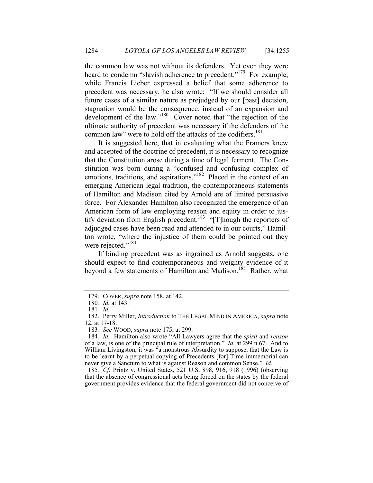the common law was not without its defenders. Yet even they were heard to condemn "slavish adherence to precedent."<sup>179</sup> For example, while Francis Lieber expressed a belief that some adherence to precedent was necessary, he also wrote: "If we should consider all future cases of a similar nature as prejudged by our [past] decision, stagnation would be the consequence, instead of an expansion and development of the law."180 Cover noted that "the rejection of the ultimate authority of precedent was necessary if the defenders of the common law" were to hold off the attacks of the codifiers.<sup>181</sup>

It is suggested here, that in evaluating what the Framers knew and accepted of the doctrine of precedent, it is necessary to recognize that the Constitution arose during a time of legal ferment. The Constitution was born during a "confused and confusing complex of emotions, traditions, and aspirations."<sup>182</sup> Placed in the context of an emerging American legal tradition, the contemporaneous statements of Hamilton and Madison cited by Arnold are of limited persuasive force. For Alexander Hamilton also recognized the emergence of an American form of law employing reason and equity in order to justify deviation from English precedent.<sup>183</sup> "[T]hough the reporters of adjudged cases have been read and attended to in our courts," Hamilton wrote, "where the injustice of them could be pointed out they were rejected."<sup>184</sup>

If binding precedent was as ingrained as Arnold suggests, one should expect to find contemporaneous and weighty evidence of it beyond a few statements of Hamilton and Madison.<sup>185</sup> Rather, what

185*. Cf.* Printz v. United States, 521 U.S. 898, 916, 918 (1996) (observing that the absence of congressional acts being forced on the states by the federal government provides evidence that the federal government did not conceive of

 <sup>179.</sup> COVER, *supra* note 158, at 142.

<sup>180</sup>*. Id.* at 143.

<sup>181</sup>*. Id.*

 <sup>182.</sup> Perry Miller, *Introduction* to THE LEGAL MIND IN AMERICA, *supra* note 12, at 17-18.

<sup>183</sup>*. See* WOOD, *supra* note 175, at 299.

<sup>184</sup>*. Id.* Hamilton also wrote "All Lawyers agree that the *spirit* and *reason* of a law, is one of the principal rule of interpretation." *Id.* at 299 n.67. And to William Livingston, it was "a monstrous Absurdity to suppose, that the Law is to be learnt by a perpetual copying of Precedents [for] Time immemorial can never give a Sanctum to what is against Reason and common Sense." *Id.*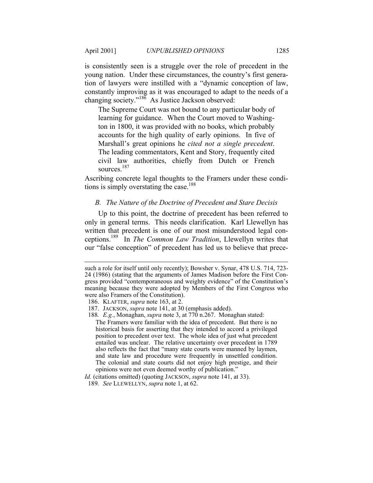1

is consistently seen is a struggle over the role of precedent in the young nation. Under these circumstances, the country's first generation of lawyers were instilled with a "dynamic conception of law, constantly improving as it was encouraged to adapt to the needs of a changing society."<sup>186</sup> As Justice Jackson observed:

The Supreme Court was not bound to any particular body of learning for guidance. When the Court moved to Washington in 1800, it was provided with no books, which probably accounts for the high quality of early opinions. In five of Marshall's great opinions he *cited not a single precedent*. The leading commentators, Kent and Story, frequently cited civil law authorities, chiefly from Dutch or French sources<sup>187</sup>

Ascribing concrete legal thoughts to the Framers under these conditions is simply overstating the case.<sup>188</sup>

#### *B. The Nature of the Doctrine of Precedent and Stare Decisis*

Up to this point, the doctrine of precedent has been referred to only in general terms. This needs clarification. Karl Llewellyn has written that precedent is one of our most misunderstood legal conceptions.189 In *The Common Law Tradition*, Llewellyn writes that our "false conception" of precedent has led us to believe that prece-

such a role for itself until only recently); Bowsher v. Synar, 478 U.S. 714, 723- 24 (1986) (stating that the arguments of James Madison before the First Congress provided "contemporaneous and weighty evidence" of the Constitution's meaning because they were adopted by Members of the First Congress who were also Framers of the Constitution).

 <sup>186.</sup> KLAFTER, *supra* note 163, at 2.

 <sup>187.</sup> JACKSON, *supra* note 141, at 30 (emphasis added).

<sup>188</sup>*. E.g.*, Monaghan, *supra* note 3, at 770 n.267. Monaghan stated: The Framers were familiar with the idea of precedent. But there is no

historical basis for asserting that they intended to accord a privileged position to precedent over text. The whole idea of just what precedent entailed was unclear. The relative uncertainty over precedent in 1789 also reflects the fact that "many state courts were manned by laymen, and state law and procedure were frequently in unsettled condition. The colonial and state courts did not enjoy high prestige, and their opinions were not even deemed worthy of publication."

*Id.* (citations omitted) (quoting JACKSON, *supra* note 141, at 33).

<sup>189</sup>*. See* LLEWELLYN, *supra* note 1, at 62.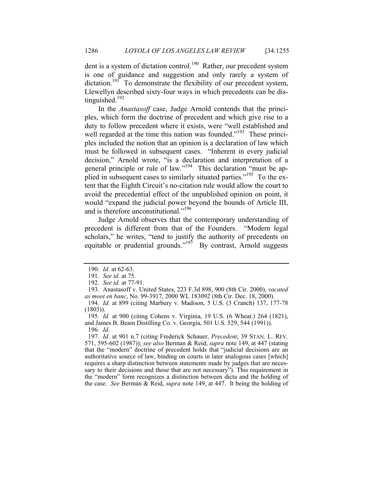dent is a system of dictation control.<sup>190</sup> Rather, our precedent system is one of guidance and suggestion and only rarely a system of dictation.<sup>191</sup> To demonstrate the flexibility of our precedent system, Llewellyn described sixty-four ways in which precedents can be distinguished. $192$ 

In the *Anastasoff* case, Judge Arnold contends that the principles, which form the doctrine of precedent and which give rise to a duty to follow precedent where it exists, were "well established and well regarded at the time this nation was founded."<sup>193</sup> These principles included the notion that an opinion is a declaration of law which must be followed in subsequent cases. "Inherent in every judicial decision," Arnold wrote, "is a declaration and interpretation of a general principle or rule of law."194 This declaration "must be applied in subsequent cases to similarly situated parties."<sup>195</sup> To the extent that the Eighth Circuit's no-citation rule would allow the court to avoid the precedential effect of the unpublished opinion on point, it would "expand the judicial power beyond the bounds of Article III, and is therefore unconstitutional."<sup>196</sup>

Judge Arnold observes that the contemporary understanding of precedent is different from that of the Founders. "Modern legal scholars," he writes, "tend to justify the authority of precedents on equitable or prudential grounds."<sup>197</sup> By contrast, Arnold suggests

197*. Id.* at 901 n.7 (citing Frederick Schauer, *Precedent*, 39 STAN. L. REV. 571, 595-602 (1987)); *see also* Berman & Reid, *supra* note 149, at 447 (stating that the "modern" doctrine of precedent holds that "judicial decisions are an authoritative source of law, binding on courts in later analogous cases [which] requires a sharp distinction between statements made by judges that are necessary to their decisions and those that are not necessary"). This requirement in the "modern" form recognizes a distinction between dicta and the holding of the case. *See* Berman & Reid, *supra* note 149, at 447. It being the holding of

<sup>190</sup>*. Id.* at 62-63.

<sup>191</sup>*. See id.* at 75.

<sup>192</sup>*. See id.* at 77-91.

<sup>193</sup>*.* Anastasoff v. United States, 223 F.3d 898, 900 (8th Cir. 2000), *vacated as moot en banc*, No. 99-3917, 2000 WL 183092 (8th Cir. Dec. 18, 2000).

<sup>194</sup>*. Id.* at 899 (citing Marbury v. Madison, 5 U.S. (3 Cranch) 137, 177-78 (1803)).

<sup>195</sup>*. Id.* at 900 (citing Cohens v. Virginia, 19 U.S. (6 Wheat.) 264 (1821), and James B. Beam Distilling Co. v. Georgia, 501 U.S. 529, 544 (1991)). 196*. Id.*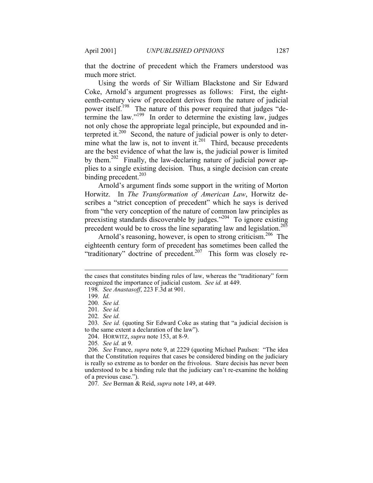that the doctrine of precedent which the Framers understood was much more strict.

Using the words of Sir William Blackstone and Sir Edward Coke, Arnold's argument progresses as follows: First, the eighteenth-century view of precedent derives from the nature of judicial power itself.<sup>198</sup> The nature of this power required that judges "determine the law."<sup>199</sup> In order to determine the existing law, judges not only chose the appropriate legal principle, but expounded and interpreted it. $200$  Second, the nature of judicial power is only to determine what the law is, not to invent it.<sup>201</sup> Third, because precedents are the best evidence of what the law is, the judicial power is limited by them.<sup>202</sup> Finally, the law-declaring nature of judicial power applies to a single existing decision. Thus, a single decision can create binding precedent.<sup>203</sup>

Arnold's argument finds some support in the writing of Morton Horwitz. In *The Transformation of American Law*, Horwitz describes a "strict conception of precedent" which he says is derived from "the very conception of the nature of common law principles as preexisting standards discoverable by judges."204 To ignore existing precedent would be to cross the line separating law and legislation.<sup>205</sup>

Arnold's reasoning, however, is open to strong criticism.<sup>206</sup> The eighteenth century form of precedent has sometimes been called the "traditionary" doctrine of precedent.<sup>207</sup> This form was closely re-

-

the cases that constitutes binding rules of law, whereas the "traditionary" form recognized the importance of judicial custom. *See id.* at 449.

<sup>198</sup>*. See Anastasoff*, 223 F.3d at 901.

<sup>199</sup>*. Id.*

<sup>200</sup>*. See id.*

<sup>201</sup>*. See id.*

<sup>202</sup>*. See id.*

<sup>203</sup>*. See id.* (quoting Sir Edward Coke as stating that "a judicial decision is to the same extent a declaration of the law").

 <sup>204.</sup> HORWITZ, *supra* note 153, at 8-9.

<sup>205</sup>*. See id.* at 9.

<sup>206</sup>*. See* France, *supra* note 9, at 2229 (quoting Michael Paulsen: "The idea that the Constitution requires that cases be considered binding on the judiciary is really so extreme as to border on the frivolous. Stare decisis has never been understood to be a binding rule that the judiciary can't re-examine the holding of a previous case.").

<sup>207</sup>*. See* Berman & Reid, *supra* note 149, at 449.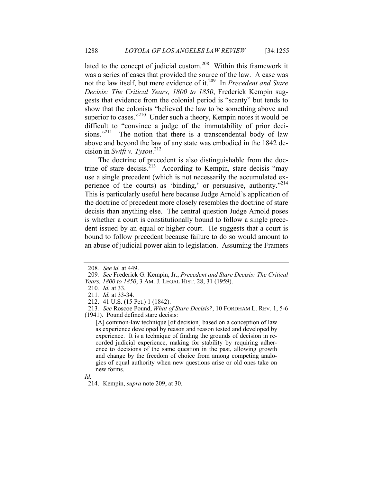lated to the concept of judicial custom.208 Within this framework it was a series of cases that provided the source of the law. A case was not the law itself, but mere evidence of it.209 In *Precedent and Stare Decisis: The Critical Years, 1800 to 1850*, Frederick Kempin suggests that evidence from the colonial period is "scanty" but tends to show that the colonists "believed the law to be something above and superior to cases."<sup>210</sup> Under such a theory, Kempin notes it would be difficult to "convince a judge of the immutability of prior decisions."<sup>211</sup> The notion that there is a transcendental body of law above and beyond the law of any state was embodied in the 1842 decision in *Swift v. Tyson*. 212

The doctrine of precedent is also distinguishable from the doctrine of stare decisis.<sup>213</sup> According to Kempin, stare decisis "may" use a single precedent (which is not necessarily the accumulated experience of the courts) as 'binding,' or persuasive, authority. $12^{14}$ This is particularly useful here because Judge Arnold's application of the doctrine of precedent more closely resembles the doctrine of stare decisis than anything else. The central question Judge Arnold poses is whether a court is constitutionally bound to follow a single precedent issued by an equal or higher court. He suggests that a court is bound to follow precedent because failure to do so would amount to an abuse of judicial power akin to legislation. Assuming the Framers

<sup>208</sup>*. See id.* at 449.

<sup>209</sup>*. See* Frederick G. Kempin, Jr., *Precedent and Stare Decisis: The Critical Years, 1800 to 1850*, 3 AM. J. LEGAL HIST. 28, 31 (1959).

<sup>210</sup>*. Id.* at 33.

<sup>211</sup>*. Id.* at 33-34.

 <sup>212. 41</sup> U.S. (15 Pet.) 1 (1842).

<sup>213</sup>*. See* Roscoe Pound, *What of Stare Decisis?*, 10 FORDHAM L. REV. 1, 5-6 (1941). Pound defined stare decisis:

<sup>[</sup>A] common-law technique [of decision] based on a conception of law as experience developed by reason and reason tested and developed by experience. It is a technique of finding the grounds of decision in recorded judicial experience, making for stability by requiring adherence to decisions of the same question in the past, allowing growth and change by the freedom of choice from among competing analogies of equal authority when new questions arise or old ones take on new forms.

*Id.*

 <sup>214.</sup> Kempin, *supra* note 209, at 30.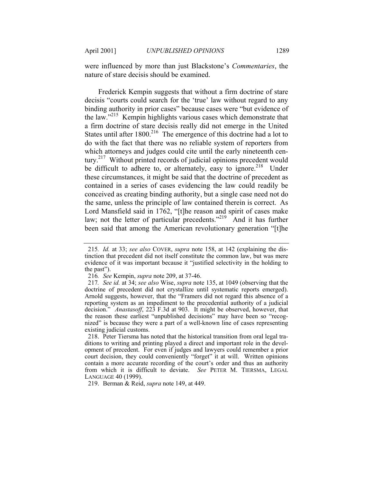were influenced by more than just Blackstone's *Commentaries*, the nature of stare decisis should be examined.

Frederick Kempin suggests that without a firm doctrine of stare decisis "courts could search for the 'true' law without regard to any binding authority in prior cases" because cases were "but evidence of the law."<sup>215</sup> Kempin highlights various cases which demonstrate that a firm doctrine of stare decisis really did not emerge in the United States until after  $1800$ <sup>216</sup>. The emergence of this doctrine had a lot to do with the fact that there was no reliable system of reporters from which attorneys and judges could cite until the early nineteenth century.217 Without printed records of judicial opinions precedent would be difficult to adhere to, or alternately, easy to ignore.<sup>218</sup> Under these circumstances, it might be said that the doctrine of precedent as contained in a series of cases evidencing the law could readily be conceived as creating binding authority, but a single case need not do the same, unless the principle of law contained therein is correct. As Lord Mansfield said in 1762, "[t]he reason and spirit of cases make law; not the letter of particular precedents. $^{2219}$  And it has further been said that among the American revolutionary generation "[t]he

219. Berman & Reid, *supra* note 149, at 449.

<sup>215</sup>*. Id.* at 33; *see also* COVER, *supra* note 158, at 142 (explaining the distinction that precedent did not itself constitute the common law, but was mere evidence of it was important because it "justified selectivity in the holding to the past").

<sup>216</sup>*. See* Kempin, *supra* note 209, at 37-46.

<sup>217</sup>*. See id.* at 34; *see also* Wise, *supra* note 135, at 1049 (observing that the doctrine of precedent did not crystallize until systematic reports emerged). Arnold suggests, however, that the "Framers did not regard this absence of a reporting system as an impediment to the precedential authority of a judicial decision." *Anastasoff*, 223 F.3d at 903. It might be observed, however, that the reason these earliest "unpublished decisions" may have been so "recognized" is because they were a part of a well-known line of cases representing existing judicial customs.

 <sup>218.</sup> Peter Tiersma has noted that the historical transition from oral legal traditions to writing and printing played a direct and important role in the development of precedent. For even if judges and lawyers could remember a prior court decision, they could conveniently "forget" it at will. Written opinions contain a more accurate recording of the court's order and thus an authority from which it is difficult to deviate. *See* PETER M. TIERSMA, LEGAL LANGUAGE 40 (1999).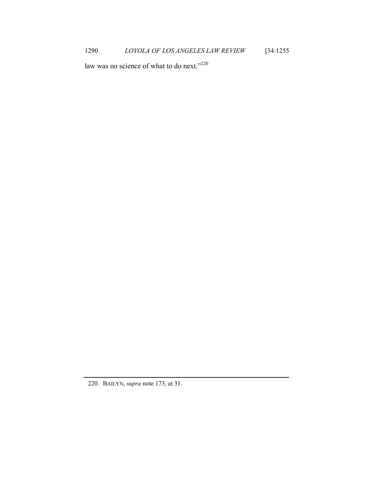law was no science of what to do next."<sup>220</sup>

 <sup>220.</sup> BAILYN, *supra* note 173, at 31.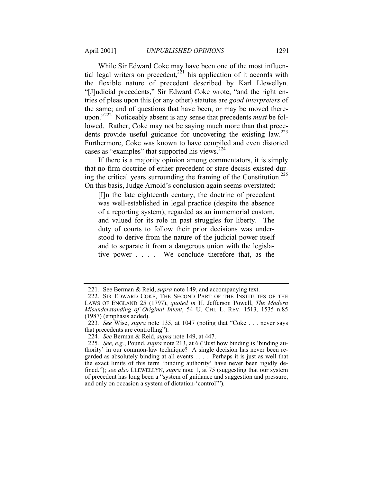While Sir Edward Coke may have been one of the most influential legal writers on precedent,  $2^{21}$  his application of it accords with the flexible nature of precedent described by Karl Llewellyn. "[J]udicial precedents," Sir Edward Coke wrote, "and the right entries of pleas upon this (or any other) statutes are *good interpreters* of the same; and of questions that have been, or may be moved thereupon."222 Noticeably absent is any sense that precedents *must* be followed. Rather, Coke may not be saying much more than that precedents provide useful guidance for uncovering the existing  $law^{223}$ Furthermore, Coke was known to have compiled and even distorted cases as "examples" that supported his views.<sup>224</sup>

If there is a majority opinion among commentators, it is simply that no firm doctrine of either precedent or stare decisis existed during the critical years surrounding the framing of the Constitution.225 On this basis, Judge Arnold's conclusion again seems overstated:

[I]n the late eighteenth century, the doctrine of precedent was well-established in legal practice (despite the absence of a reporting system), regarded as an immemorial custom, and valued for its role in past struggles for liberty. The duty of courts to follow their prior decisions was understood to derive from the nature of the judicial power itself and to separate it from a dangerous union with the legislative power . . . . We conclude therefore that, as the

<sup>221</sup>*.* See Berman & Reid, *supra* note 149, and accompanying text.

 <sup>222.</sup> SIR EDWARD COKE, THE SECOND PART OF THE INSTITUTES OF THE LAWS OF ENGLAND 25 (1797), *quoted in* H. Jefferson Powell, *The Modern Misunderstanding of Original Intent*, 54 U. CHI. L. REV. 1513, 1535 n.85 (1987) (emphasis added).

<sup>223</sup>*. See* Wise, *supra* note 135, at 1047 (noting that "Coke . . . never says that precedents are controlling").

<sup>224</sup>*. See* Berman & Reid, *supra* note 149, at 447.

<sup>225</sup>*. See, e.g.*, Pound, *supra* note 213, at 6 ("Just how binding is 'binding authority' in our common-law technique? A single decision has never been regarded as absolutely binding at all events . . . . Perhaps it is just as well that the exact limits of this term 'binding authority' have never been rigidly defined."); *see also* LLEWELLYN, *supra* note 1, at 75 (suggesting that our system of precedent has long been a "system of guidance and suggestion and pressure, and only on occasion a system of dictation-'control'").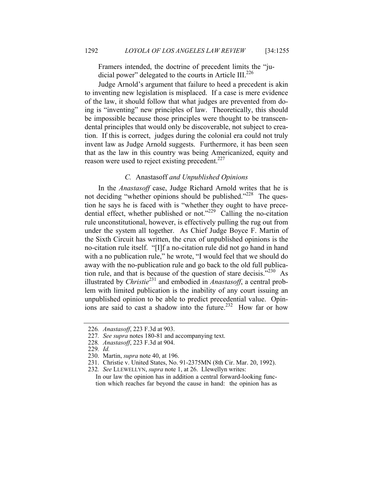Framers intended, the doctrine of precedent limits the "judicial power" delegated to the courts in Article  $III^{226}$ 

Judge Arnold's argument that failure to heed a precedent is akin to inventing new legislation is misplaced. If a case is mere evidence of the law, it should follow that what judges are prevented from doing is "inventing" new principles of law. Theoretically, this should be impossible because those principles were thought to be transcendental principles that would only be discoverable, not subject to creation. If this is correct, judges during the colonial era could not truly invent law as Judge Arnold suggests. Furthermore, it has been seen that as the law in this country was being Americanized, equity and reason were used to reject existing precedent.<sup>227</sup>

## *C.* Anastasoff *and Unpublished Opinions*

In the *Anastasoff* case, Judge Richard Arnold writes that he is not deciding "whether opinions should be published."<sup>228</sup> The question he says he is faced with is "whether they ought to have precedential effect, whether published or not."<sup>229</sup> Calling the no-citation rule unconstitutional, however, is effectively pulling the rug out from under the system all together. As Chief Judge Boyce F. Martin of the Sixth Circuit has written, the crux of unpublished opinions is the no-citation rule itself. "[I]f a no-citation rule did not go hand in hand with a no publication rule," he wrote, "I would feel that we should do away with the no-publication rule and go back to the old full publication rule, and that is because of the question of stare decisis. $1230$  As illustrated by *Christie*231 and embodied in *Anastasoff*, a central problem with limited publication is the inability of any court issuing an unpublished opinion to be able to predict precedential value. Opinions are said to cast a shadow into the future.<sup>232</sup> How far or how

<sup>226</sup>*. Anastasoff*, 223 F.3d at 903.

<sup>227</sup>*. See supra* notes 180-81 and accompanying text.

<sup>228</sup>*. Anastasoff*, 223 F.3d at 904.

<sup>229</sup>*. Id.*

 <sup>230.</sup> Martin, *supra* note 40, at 196.

 <sup>231.</sup> Christie v. United States, No. 91-2375MN (8th Cir. Mar. 20, 1992).

<sup>232</sup>*. See* LLEWELLYN, *supra* note 1, at 26. Llewellyn writes:

In our law the opinion has in addition a central forward-looking function which reaches far beyond the cause in hand: the opinion has as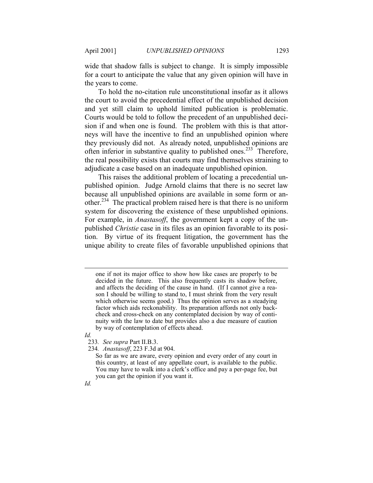wide that shadow falls is subject to change. It is simply impossible for a court to anticipate the value that any given opinion will have in the years to come.

To hold the no-citation rule unconstitutional insofar as it allows the court to avoid the precedential effect of the unpublished decision and yet still claim to uphold limited publication is problematic. Courts would be told to follow the precedent of an unpublished decision if and when one is found. The problem with this is that attorneys will have the incentive to find an unpublished opinion where they previously did not. As already noted, unpublished opinions are often inferior in substantive quality to published ones.<sup>233</sup> Therefore, the real possibility exists that courts may find themselves straining to adjudicate a case based on an inadequate unpublished opinion.

This raises the additional problem of locating a precedential unpublished opinion. Judge Arnold claims that there is no secret law because all unpublished opinions are available in some form or another.234 The practical problem raised here is that there is no uniform system for discovering the existence of these unpublished opinions. For example, in *Anastasoff*, the government kept a copy of the unpublished *Christie* case in its files as an opinion favorable to its position. By virtue of its frequent litigation, the government has the unique ability to create files of favorable unpublished opinions that

*Id.* 

-

- 233*. See supra* Part II.B.3.
- 234*. Anastasoff*, 223 F.3d at 904.

*Id.*

one if not its major office to show how like cases are properly to be decided in the future. This also frequently casts its shadow before, and affects the deciding of the cause in hand. (If I cannot give a reason I should be willing to stand to, I must shrink from the very result which otherwise seems good.) Thus the opinion serves as a steadying factor which aids reckonability. Its preparation affords not only backcheck and cross-check on any contemplated decision by way of continuity with the law to date but provides also a due measure of caution by way of contemplation of effects ahead.

So far as we are aware, every opinion and every order of any court in this country, at least of any appellate court, is available to the public. You may have to walk into a clerk's office and pay a per-page fee, but you can get the opinion if you want it.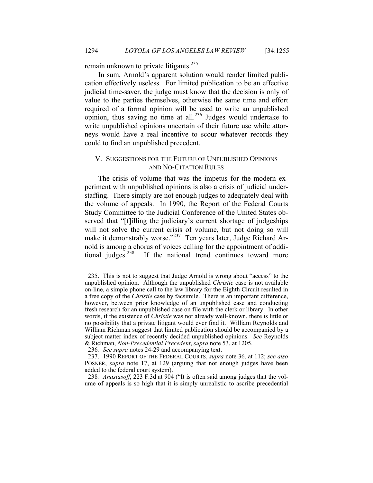remain unknown to private litigants.<sup>235</sup>

In sum, Arnold's apparent solution would render limited publication effectively useless. For limited publication to be an effective judicial time-saver, the judge must know that the decision is only of value to the parties themselves, otherwise the same time and effort required of a formal opinion will be used to write an unpublished opinion, thus saving no time at all.<sup>236</sup> Judges would undertake to write unpublished opinions uncertain of their future use while attorneys would have a real incentive to scour whatever records they could to find an unpublished precedent.

## V. SUGGESTIONS FOR THE FUTURE OF UNPUBLISHED OPINIONS AND NO-CITATION RULES

The crisis of volume that was the impetus for the modern experiment with unpublished opinions is also a crisis of judicial understaffing. There simply are not enough judges to adequately deal with the volume of appeals. In 1990, the Report of the Federal Courts Study Committee to the Judicial Conference of the United States observed that "[f]illing the judiciary's current shortage of judgeships will not solve the current crisis of volume, but not doing so will make it demonstrably worse."<sup>237</sup> Ten years later, Judge Richard Arnold is among a chorus of voices calling for the appointment of additional judges. $^{238}$  If the national trend continues toward more

 <sup>235.</sup> This is not to suggest that Judge Arnold is wrong about "access" to the unpublished opinion. Although the unpublished *Christie* case is not available on-line, a simple phone call to the law library for the Eighth Circuit resulted in a free copy of the *Christie* case by facsimile. There is an important difference, however, between prior knowledge of an unpublished case and conducting fresh research for an unpublished case on file with the clerk or library. In other words, if the existence of *Christie* was not already well-known, there is little or no possibility that a private litigant would ever find it. William Reynolds and William Richman suggest that limited publication should be accompanied by a subject matter index of recently decided unpublished opinions. *See* Reynolds & Richman, *Non-Precedential Precedent*, *supra* note 53, at 1205.

<sup>236</sup>*. See supra* notes 24-29 and accompanying text.

 <sup>237. 1990</sup> REPORT OF THE FEDERAL COURTS, *supra* note 36, at 112; *see also* POSNER, *supra* note 17, at 129 (arguing that not enough judges have been added to the federal court system).

<sup>238</sup>*. Anastasoff*, 223 F.3d at 904 ("It is often said among judges that the volume of appeals is so high that it is simply unrealistic to ascribe precedential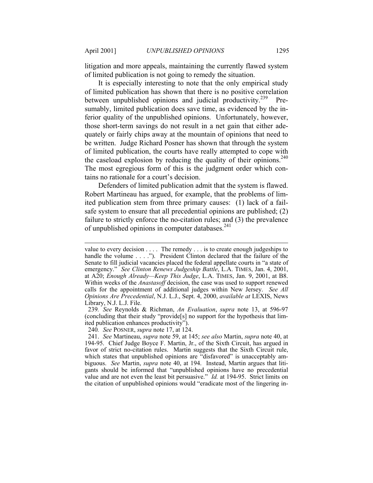-

litigation and more appeals, maintaining the currently flawed system of limited publication is not going to remedy the situation.

It is especially interesting to note that the only empirical study of limited publication has shown that there is no positive correlation between unpublished opinions and judicial productivity.<sup>239</sup> Presumably, limited publication does save time, as evidenced by the inferior quality of the unpublished opinions. Unfortunately, however, those short-term savings do not result in a net gain that either adequately or fairly chips away at the mountain of opinions that need to be written. Judge Richard Posner has shown that through the system of limited publication, the courts have really attempted to cope with the caseload explosion by reducing the quality of their opinions.<sup>240</sup> The most egregious form of this is the judgment order which contains no rationale for a court's decision.

Defenders of limited publication admit that the system is flawed. Robert Martineau has argued, for example, that the problems of limited publication stem from three primary causes: (1) lack of a failsafe system to ensure that all precedential opinions are published; (2) failure to strictly enforce the no-citation rules; and (3) the prevalence of unpublished opinions in computer databases.<sup>241</sup>

240*. See* POSNER, *supra* note 17, at 124.

value to every decision . . . . The remedy . . . is to create enough judgeships to handle the volume . . . ."). President Clinton declared that the failure of the Senate to fill judicial vacancies placed the federal appellate courts in "a state of emergency." *See Clinton Renews Judgeship Battle*, L.A. TIMES, Jan. 4, 2001, at A20; *Enough Already—Keep This Judge*, L.A. TIMES, Jan. 9, 2001, at B8. Within weeks of the *Anastasoff* decision, the case was used to support renewed calls for the appointment of additional judges within New Jersey. *See All Opinions Are Precedential*, N.J. L.J., Sept. 4, 2000, *available at* LEXIS, News Library, N.J. L.J. File.

<sup>239</sup>*. See* Reynolds & Richman, *An Evaluation*, *supra* note 13, at 596-97 (concluding that their study "provide[s] no support for the hypothesis that limited publication enhances productivity").

 <sup>241.</sup> *See* Martineau, *supra* note 59, at 145; *see also* Martin, *supra* note 40, at 194-95. Chief Judge Boyce F. Martin, Jr., of the Sixth Circuit, has argued in favor of strict no-citation rules. Martin suggests that the Sixth Circuit rule, which states that unpublished opinions are "disfavored" is unacceptably ambiguous. *See* Martin, *supra* note 40, at 194. Instead, Martin argues that litigants should be informed that "unpublished opinions have no precedential value and are not even the least bit persuasive." *Id.* at 194-95. Strict limits on the citation of unpublished opinions would "eradicate most of the lingering in-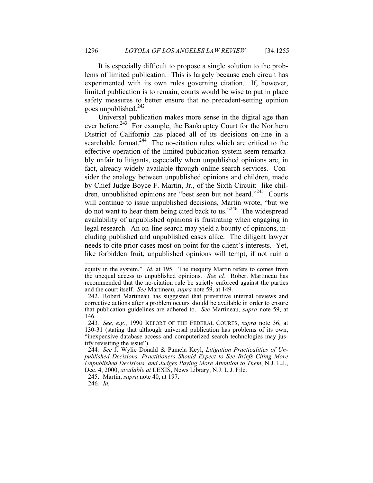It is especially difficult to propose a single solution to the problems of limited publication. This is largely because each circuit has experimented with its own rules governing citation. If, however, limited publication is to remain, courts would be wise to put in place safety measures to better ensure that no precedent-setting opinion goes unpublished. $242$ 

Universal publication makes more sense in the digital age than ever before.<sup>243</sup> For example, the Bankruptcy Court for the Northern District of California has placed all of its decisions on-line in a searchable format.<sup>244</sup> The no-citation rules which are critical to the effective operation of the limited publication system seem remarkably unfair to litigants, especially when unpublished opinions are, in fact, already widely available through online search services. Consider the analogy between unpublished opinions and children, made by Chief Judge Boyce F. Martin, Jr., of the Sixth Circuit: like children, unpublished opinions are "best seen but not heard."<sup>245</sup> Courts will continue to issue unpublished decisions, Martin wrote, "but we do not want to hear them being cited back to us."246 The widespread availability of unpublished opinions is frustrating when engaging in legal research. An on-line search may yield a bounty of opinions, including published and unpublished cases alike. The diligent lawyer needs to cite prior cases most on point for the client's interests. Yet, like forbidden fruit, unpublished opinions will tempt, if not ruin a

246*. Id.*

-

equity in the system." *Id.* at 195. The inequity Martin refers to comes from the unequal access to unpublished opinions. *See id.* Robert Martineau has recommended that the no-citation rule be strictly enforced against the parties and the court itself. *See* Martineau, *supra* note 59, at 149.

 <sup>242.</sup> Robert Martineau has suggested that preventive internal reviews and corrective actions after a problem occurs should be available in order to ensure that publication guidelines are adhered to. *See* Martineau, *supra* note 59, at 146.

<sup>243</sup>*. See, e.g.*, 1990 REPORT OF THE FEDERAL COURTS, *supra* note 36, at 130-31 (stating that although universal publication has problems of its own, "inexpensive database access and computerized search technologies may justify revisiting the issue").

<sup>244</sup>*. See* J. Wylie Donald & Pamela Keyl, *Litigation Practicalities of Unpublished Decisions, Practitioners Should Expect to See Briefs Citing More Unpublished Decisions, and Judges Paying More Attention to Them*, N.J. L.J., Dec. 4, 2000, *available at* LEXIS, News Library, N.J. L.J. File.

 <sup>245.</sup> Martin, *supra* note 40, at 197.